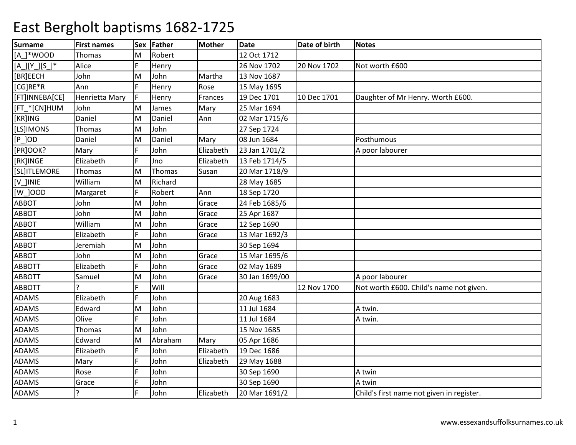| <b>Surname</b>         | <b>First names</b> | Sex | Father  | <b>Mother</b> | Date           | Date of birth | <b>Notes</b>                              |
|------------------------|--------------------|-----|---------|---------------|----------------|---------------|-------------------------------------------|
| $[A_]^*$ WOOD          | Thomas             | м   | Robert  |               | 12 Oct 1712    |               |                                           |
| $[A_{]}[Y_{]}[S_{]}^*$ | Alice              | E   | Henry   |               | 26 Nov 1702    | 20 Nov 1702   | Not worth £600                            |
| [BR]EECH               | John               | M   | John    | Martha        | 13 Nov 1687    |               |                                           |
| [CG]RE*R               | Ann                | F   | Henry   | Rose          | 15 May 1695    |               |                                           |
| [FT]INNEBA[CE]         | Henrietta Mary     | F   | Henry   | Frances       | 19 Dec 1701    | 10 Dec 1701   | Daughter of Mr Henry. Worth £600.         |
| [FT *[CN]HUM           | John               | M   | James   | Mary          | 25 Mar 1694    |               |                                           |
| [KR]ING                | Daniel             | M   | Daniel  | Ann           | 02 Mar 1715/6  |               |                                           |
| [LS]IMONS              | Thomas             | M   | John    |               | 27 Sep 1724    |               |                                           |
| $[P_$ JOD              | Daniel             | M   | Daniel  | Mary          | 08 Jun 1684    |               | Posthumous                                |
| [PR]OOK?               | Mary               | F   | John    | Elizabeth     | 23 Jan 1701/2  |               | A poor labourer                           |
| [RK]INGE               | Elizabeth          | F   | Jno     | Elizabeth     | 13 Feb 1714/5  |               |                                           |
| [SL]ITLEMORE           | Thomas             | M   | Thomas  | Susan         | 20 Mar 1718/9  |               |                                           |
| [V ]INIE               | William            | M   | Richard |               | 28 May 1685    |               |                                           |
| [W_]00D                | Margaret           |     | Robert  | Ann           | 18 Sep 1720    |               |                                           |
| <b>ABBOT</b>           | John               | M   | John    | Grace         | 24 Feb 1685/6  |               |                                           |
| ABBOT                  | John               | M   | John    | Grace         | 25 Apr 1687    |               |                                           |
| <b>ABBOT</b>           | William            | M   | John    | Grace         | 12 Sep 1690    |               |                                           |
| <b>ABBOT</b>           | Elizabeth          | Ē   | John    | Grace         | 13 Mar 1692/3  |               |                                           |
| <b>ABBOT</b>           | Jeremiah           | M   | John    |               | 30 Sep 1694    |               |                                           |
| <b>ABBOT</b>           | John               | M   | John    | Grace         | 15 Mar 1695/6  |               |                                           |
| <b>ABBOTT</b>          | Elizabeth          | F   | John    | Grace         | 02 May 1689    |               |                                           |
| <b>ABBOTT</b>          | Samuel             | M   | John    | Grace         | 30 Jan 1699/00 |               | A poor labourer                           |
| <b>ABBOTT</b>          |                    | Ē   | Will    |               |                | 12 Nov 1700   | Not worth £600. Child's name not given.   |
| <b>ADAMS</b>           | Elizabeth          |     | John    |               | 20 Aug 1683    |               |                                           |
| <b>ADAMS</b>           | Edward             | M   | John    |               | 11 Jul 1684    |               | A twin.                                   |
| <b>ADAMS</b>           | Olive              | F   | John    |               | 11 Jul 1684    |               | A twin.                                   |
| <b>ADAMS</b>           | Thomas             | M   | John    |               | 15 Nov 1685    |               |                                           |
| <b>ADAMS</b>           | Edward             | M   | Abraham | Mary          | 05 Apr 1686    |               |                                           |
| ADAMS                  | Elizabeth          | F   | John    | Elizabeth     | 19 Dec 1686    |               |                                           |
| ADAMS                  | Mary               |     | John    | Elizabeth     | 29 May 1688    |               |                                           |
| ADAMS                  | Rose               |     | John    |               | 30 Sep 1690    |               | A twin                                    |
| <b>ADAMS</b>           | Grace              |     | John    |               | 30 Sep 1690    |               | A twin                                    |
| <b>ADAMS</b>           | ?                  |     | John    | Elizabeth     | 20 Mar 1691/2  |               | Child's first name not given in register. |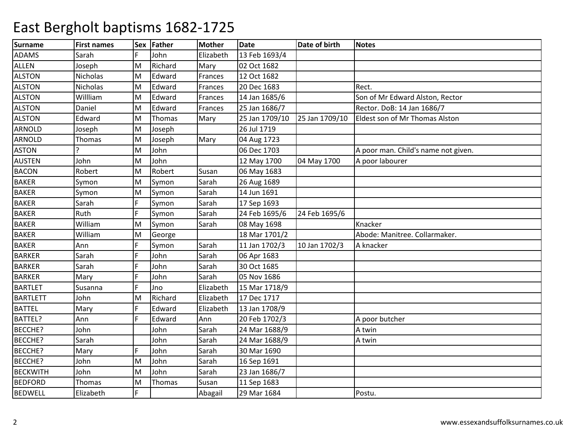| <b>Surname</b>  | <b>First names</b> |   | Sex Father | <b>Mother</b> | <b>Date</b>    | Date of birth  | <b>Notes</b>                        |
|-----------------|--------------------|---|------------|---------------|----------------|----------------|-------------------------------------|
| <b>ADAMS</b>    | Sarah              |   | John       | Elizabeth     | 13 Feb 1693/4  |                |                                     |
| <b>ALLEN</b>    | Joseph             | M | Richard    | Mary          | 02 Oct 1682    |                |                                     |
| <b>ALSTON</b>   | Nicholas           | M | Edward     | Frances       | 12 Oct 1682    |                |                                     |
| <b>ALSTON</b>   | Nicholas           | M | Edward     | Frances       | 20 Dec 1683    |                | Rect.                               |
| <b>ALSTON</b>   | Willliam           | M | Edward     | Frances       | 14 Jan 1685/6  |                | Son of Mr Edward Alston, Rector     |
| <b>ALSTON</b>   | Daniel             | M | Edward     | Frances       | 25 Jan 1686/7  |                | Rector. DoB: 14 Jan 1686/7          |
| <b>ALSTON</b>   | Edward             | M | Thomas     | Mary          | 25 Jan 1709/10 | 25 Jan 1709/10 | Eldest son of Mr Thomas Alston      |
| <b>ARNOLD</b>   | Joseph             | M | Joseph     |               | 26 Jul 1719    |                |                                     |
| <b>ARNOLD</b>   | Thomas             | M | Joseph     | Mary          | 04 Aug 1723    |                |                                     |
| <b>ASTON</b>    |                    | M | John       |               | 06 Dec 1703    |                | A poor man. Child's name not given. |
| <b>AUSTEN</b>   | John               | M | John       |               | 12 May 1700    | 04 May 1700    | A poor labourer                     |
| <b>BACON</b>    | Robert             | M | Robert     | Susan         | 06 May 1683    |                |                                     |
| <b>BAKER</b>    | Symon              | M | Symon      | Sarah         | 26 Aug 1689    |                |                                     |
| <b>BAKER</b>    | Symon              | M | Symon      | Sarah         | 14 Jun 1691    |                |                                     |
| <b>BAKER</b>    | Sarah              | F | Symon      | Sarah         | 17 Sep 1693    |                |                                     |
| <b>BAKER</b>    | Ruth               | F | Symon      | Sarah         | 24 Feb 1695/6  | 24 Feb 1695/6  |                                     |
| <b>BAKER</b>    | William            | M | Symon      | Sarah         | 08 May 1698    |                | Knacker                             |
| <b>BAKER</b>    | William            | M | George     |               | 18 Mar 1701/2  |                | Abode: Manitree. Collarmaker.       |
| <b>BAKER</b>    | Ann                |   | Symon      | Sarah         | 11 Jan 1702/3  | 10 Jan 1702/3  | A knacker                           |
| <b>BARKER</b>   | Sarah              |   | John       | Sarah         | 06 Apr 1683    |                |                                     |
| <b>BARKER</b>   | Sarah              |   | John       | Sarah         | 30 Oct 1685    |                |                                     |
| <b>BARKER</b>   | Mary               | F | John       | Sarah         | 05 Nov 1686    |                |                                     |
| <b>BARTLET</b>  | Susanna            | É | Jno        | Elizabeth     | 15 Mar 1718/9  |                |                                     |
| <b>BARTLETT</b> | John               | M | Richard    | Elizabeth     | 17 Dec 1717    |                |                                     |
| <b>BATTEL</b>   | Mary               |   | Edward     | Elizabeth     | 13 Jan 1708/9  |                |                                     |
| BATTEL?         | Ann                | F | Edward     | Ann           | 20 Feb 1702/3  |                | A poor butcher                      |
| BECCHE?         | John               |   | John       | Sarah         | 24 Mar 1688/9  |                | A twin                              |
| BECCHE?         | Sarah              |   | John       | Sarah         | 24 Mar 1688/9  |                | A twin                              |
| <b>BECCHE?</b>  | Mary               |   | John       | Sarah         | 30 Mar 1690    |                |                                     |
| <b>BECCHE?</b>  | John               | M | John       | Sarah         | 16 Sep 1691    |                |                                     |
| <b>BECKWITH</b> | John               | M | John       | Sarah         | 23 Jan 1686/7  |                |                                     |
| <b>BEDFORD</b>  | Thomas             | M | Thomas     | Susan         | 11 Sep 1683    |                |                                     |
| <b>BEDWELL</b>  | Elizabeth          | F |            | Abagail       | 29 Mar 1684    |                | Postu.                              |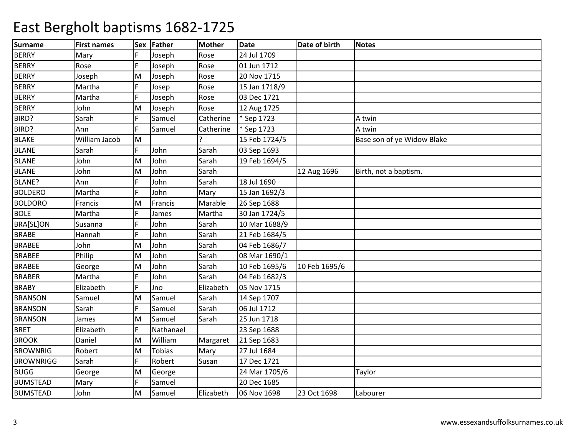| <b>Surname</b>   | <b>First names</b> | <b>Sex</b> | Father        | <b>Mother</b> | Date          | Date of birth | <b>Notes</b>               |
|------------------|--------------------|------------|---------------|---------------|---------------|---------------|----------------------------|
| <b>BERRY</b>     | Mary               |            | Joseph        | Rose          | 24 Jul 1709   |               |                            |
| <b>BERRY</b>     | Rose               | F          | Joseph        | Rose          | 01 Jun 1712   |               |                            |
| <b>BERRY</b>     | Joseph             | M          | Joseph        | Rose          | 20 Nov 1715   |               |                            |
| <b>BERRY</b>     | Martha             |            | Josep         | Rose          | 15 Jan 1718/9 |               |                            |
| <b>BERRY</b>     | Martha             |            | Joseph        | Rose          | 03 Dec 1721   |               |                            |
| <b>BERRY</b>     | John               | M          | Joseph        | Rose          | 12 Aug 1725   |               |                            |
| BIRD?            | Sarah              | E          | Samuel        | Catherine     | * Sep 1723    |               | A twin                     |
| BIRD?            | Ann                | F          | Samuel        | Catherine     | * Sep 1723    |               | A twin                     |
| <b>BLAKE</b>     | William Jacob      | M          |               | ς             | 15 Feb 1724/5 |               | Base son of ye Widow Blake |
| <b>BLANE</b>     | Sarah              |            | John          | Sarah         | 03 Sep 1693   |               |                            |
| <b>BLANE</b>     | John               | M          | John          | Sarah         | 19 Feb 1694/5 |               |                            |
| <b>BLANE</b>     | John               | M          | John          | Sarah         |               | 12 Aug 1696   | Birth, not a baptism.      |
| BLANE?           | Ann                | F          | John          | Sarah         | 18 Jul 1690   |               |                            |
| <b>BOLDERO</b>   | Martha             | E          | John          | Mary          | 15 Jan 1692/3 |               |                            |
| <b>BOLDORO</b>   | Francis            | M          | Francis       | Marable       | 26 Sep 1688   |               |                            |
| <b>BOLE</b>      | Martha             | F          | James         | Martha        | 30 Jan 1724/5 |               |                            |
| <b>BRA[SL]ON</b> | Susanna            | E          | John          | Sarah         | 10 Mar 1688/9 |               |                            |
| <b>BRABE</b>     | Hannah             | F          | John          | Sarah         | 21 Feb 1684/5 |               |                            |
| <b>BRABEE</b>    | John               | M          | John          | Sarah         | 04 Feb 1686/7 |               |                            |
| <b>BRABEE</b>    | Philip             | M          | John          | Sarah         | 08 Mar 1690/1 |               |                            |
| <b>BRABEE</b>    | George             | M          | John          | Sarah         | 10 Feb 1695/6 | 10 Feb 1695/6 |                            |
| <b>BRABER</b>    | Martha             | Ē          | John          | Sarah         | 04 Feb 1682/3 |               |                            |
| <b>BRABY</b>     | Elizabeth          | F          | Jno           | Elizabeth     | 05 Nov 1715   |               |                            |
| <b>BRANSON</b>   | Samuel             | M          | Samuel        | Sarah         | 14 Sep 1707   |               |                            |
| <b>BRANSON</b>   | Sarah              |            | Samuel        | Sarah         | 06 Jul 1712   |               |                            |
| <b>BRANSON</b>   | James              | M          | Samuel        | Sarah         | 25 Jun 1718   |               |                            |
| <b>BRET</b>      | Elizabeth          | F          | Nathanael     |               | 23 Sep 1688   |               |                            |
| <b>BROOK</b>     | Daniel             | M          | William       | Margaret      | 21 Sep 1683   |               |                            |
| <b>BROWNRIG</b>  | Robert             | M          | <b>Tobias</b> | Mary          | 27 Jul 1684   |               |                            |
| <b>BROWNRIGG</b> | Sarah              | F          | Robert        | Susan         | 17 Dec 1721   |               |                            |
| <b>BUGG</b>      | George             | M          | George        |               | 24 Mar 1705/6 |               | Taylor                     |
| <b>BUMSTEAD</b>  | Mary               | F          | Samuel        |               | 20 Dec 1685   |               |                            |
| <b>BUMSTEAD</b>  | John               | M          | Samuel        | Elizabeth     | 06 Nov 1698   | 23 Oct 1698   | Labourer                   |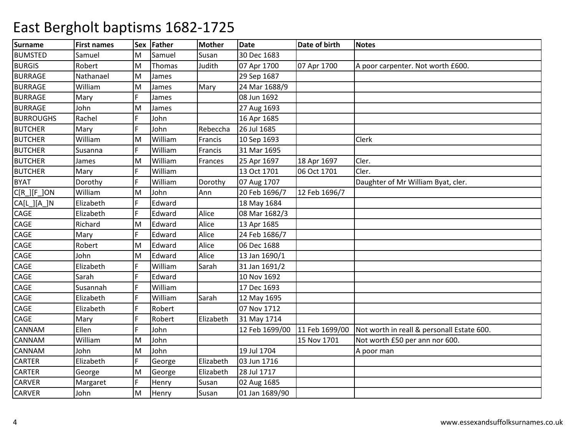| <b>Surname</b>   | <b>First names</b> | Sex | Father  | <b>Mother</b> | <b>Date</b>    | Date of birth  | <b>Notes</b>                               |
|------------------|--------------------|-----|---------|---------------|----------------|----------------|--------------------------------------------|
| <b>BUMSTED</b>   | Samuel             | м   | Samuel  | Susan         | 30 Dec 1683    |                |                                            |
| <b>BURGIS</b>    | Robert             | M   | Thomas  | Judith        | 07 Apr 1700    | 07 Apr 1700    | A poor carpenter. Not worth £600.          |
| <b>BURRAGE</b>   | Nathanael          | M   | James   |               | 29 Sep 1687    |                |                                            |
| <b>BURRAGE</b>   | William            | M   | James   | Mary          | 24 Mar 1688/9  |                |                                            |
| <b>BURRAGE</b>   | Mary               |     | James   |               | 08 Jun 1692    |                |                                            |
| <b>BURRAGE</b>   | John               | M   | James   |               | 27 Aug 1693    |                |                                            |
| <b>BURROUGHS</b> | Rachel             | Ē   | John    |               | 16 Apr 1685    |                |                                            |
| <b>BUTCHER</b>   | Mary               | Ē   | John    | Rebeccha      | 26 Jul 1685    |                |                                            |
| <b>BUTCHER</b>   | William            | M   | William | Francis       | 10 Sep 1693    |                | Clerk                                      |
| <b>BUTCHER</b>   | Susanna            | F   | William | Francis       | 31 Mar 1695    |                |                                            |
| <b>BUTCHER</b>   | James              | M   | William | Frances       | 25 Apr 1697    | 18 Apr 1697    | Cler.                                      |
| <b>BUTCHER</b>   | Mary               | E   | William |               | 13 Oct 1701    | 06 Oct 1701    | Cler.                                      |
| <b>BYAT</b>      | Dorothy            | Ē   | William | Dorothy       | 07 Aug 1707    |                | Daughter of Mr William Byat, cler.         |
| $C[R_][F_]$ ON   | William            | M   | John    | Ann           | 20 Feb 1696/7  | 12 Feb 1696/7  |                                            |
| CA[L_][A_]N      | Elizabeth          | F   | Edward  |               | 18 May 1684    |                |                                            |
| CAGE             | Elizabeth          |     | Edward  | Alice         | 08 Mar 1682/3  |                |                                            |
| CAGE             | Richard            | M   | Edward  | Alice         | 13 Apr 1685    |                |                                            |
| CAGE             | Mary               | Ē   | Edward  | Alice         | 24 Feb 1686/7  |                |                                            |
| CAGE             | Robert             | M   | Edward  | Alice         | 06 Dec 1688    |                |                                            |
| CAGE             | John               | M   | Edward  | Alice         | 13 Jan 1690/1  |                |                                            |
| CAGE             | Elizabeth          | F   | William | Sarah         | 31 Jan 1691/2  |                |                                            |
| CAGE             | Sarah              | F   | Edward  |               | 10 Nov 1692    |                |                                            |
| CAGE             | Susannah           | F   | William |               | 17 Dec 1693    |                |                                            |
| <b>CAGE</b>      | Elizabeth          |     | William | Sarah         | 12 May 1695    |                |                                            |
| CAGE             | Elizabeth          |     | Robert  |               | 07 Nov 1712    |                |                                            |
| CAGE             | Mary               |     | Robert  | Elizabeth     | 31 May 1714    |                |                                            |
| <b>CANNAM</b>    | Ellen              | È   | John    |               | 12 Feb 1699/00 | 11 Feb 1699/00 | Not worth in reall & personall Estate 600. |
| <b>CANNAM</b>    | William            | M   | John    |               |                | 15 Nov 1701    | Not worth £50 per ann nor 600.             |
| <b>CANNAM</b>    | John               | M   | John    |               | 19 Jul 1704    |                | A poor man                                 |
| <b>CARTER</b>    | Elizabeth          |     | George  | Elizabeth     | 03 Jun 1716    |                |                                            |
| <b>CARTER</b>    | George             | M   | George  | Elizabeth     | 28 Jul 1717    |                |                                            |
| <b>CARVER</b>    | Margaret           | F   | Henry   | Susan         | 02 Aug 1685    |                |                                            |
| <b>CARVER</b>    | John               | M   | Henry   | Susan         | 01 Jan 1689/90 |                |                                            |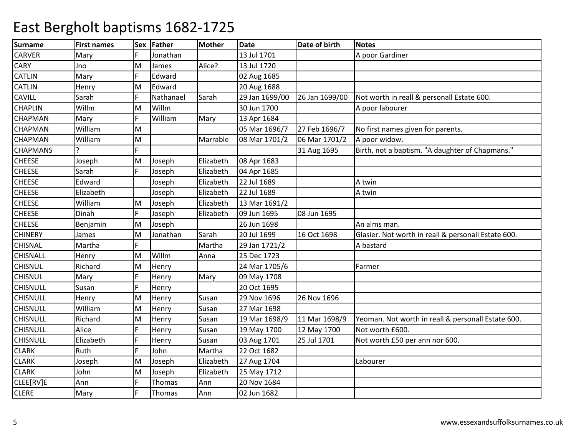| <b>Surname</b>  | <b>First names</b> | Sex | Father    | <b>Mother</b> | <b>Date</b>    | Date of birth  | <b>Notes</b>                                        |
|-----------------|--------------------|-----|-----------|---------------|----------------|----------------|-----------------------------------------------------|
| <b>CARVER</b>   | Mary               |     | Jonathan  |               | 13 Jul 1701    |                | A poor Gardiner                                     |
| <b>CARY</b>     | Jno                | M   | James     | Alice?        | 13 Jul 1720    |                |                                                     |
| <b>CATLIN</b>   | Mary               | Ē   | Edward    |               | 02 Aug 1685    |                |                                                     |
| <b>CATLIN</b>   | Henry              | M   | Edward    |               | 20 Aug 1688    |                |                                                     |
| <b>CAVILL</b>   | Sarah              | F   | Nathanael | Sarah         | 29 Jan 1699/00 | 26 Jan 1699/00 | Not worth in reall & personall Estate 600.          |
| <b>CHAPLIN</b>  | Willm              | M   | Willm     |               | 30 Jun 1700    |                | A poor labourer                                     |
| <b>CHAPMAN</b>  | Mary               | F   | William   | Mary          | 13 Apr 1684    |                |                                                     |
| <b>CHAPMAN</b>  | William            | M   |           |               | 05 Mar 1696/7  | 27 Feb 1696/7  | No first names given for parents.                   |
| <b>CHAPMAN</b>  | William            | M   |           | Marrable      | 08 Mar 1701/2  | 06 Mar 1701/2  | A poor widow.                                       |
| <b>CHAPMANS</b> |                    |     |           |               |                | 31 Aug 1695    | Birth, not a baptism. "A daughter of Chapmans."     |
| <b>CHEESE</b>   | Joseph             | M   | Joseph    | Elizabeth     | 08 Apr 1683    |                |                                                     |
| <b>CHEESE</b>   | Sarah              | Ē   | Joseph    | Elizabeth     | 04 Apr 1685    |                |                                                     |
| <b>CHEESE</b>   | Edward             |     | Joseph    | Elizabeth     | 22 Jul 1689    |                | A twin                                              |
| <b>CHEESE</b>   | Elizabeth          |     | Joseph    | Elizabeth     | 22 Jul 1689    |                | A twin                                              |
| <b>CHEESE</b>   | William            | M   | Joseph    | Elizabeth     | 13 Mar 1691/2  |                |                                                     |
| <b>CHEESE</b>   | Dinah              | F   | Joseph    | Elizabeth     | 09 Jun 1695    | 08 Jun 1695    |                                                     |
| <b>CHEESE</b>   | Benjamin           | M   | Joseph    |               | 26 Jun 1698    |                | An alms man.                                        |
| <b>CHINERY</b>  | James              | M   | Jonathan  | Sarah         | 20 Jul 1699    | 16 Oct 1698    | Glasier. Not worth in reall & personall Estate 600. |
| <b>CHISNAL</b>  | Martha             | Ē   |           | Martha        | 29 Jan 1721/2  |                | A bastard                                           |
| <b>CHISNALL</b> | Henry              | M   | Willm     | Anna          | 25 Dec 1723    |                |                                                     |
| <b>CHISNUL</b>  | Richard            | M   | Henry     |               | 24 Mar 1705/6  |                | Farmer                                              |
| <b>CHISNUL</b>  | Mary               | Ē   | Henry     | Mary          | 09 May 1708    |                |                                                     |
| <b>CHISNULL</b> | Susan              | Ē   | Henry     |               | 20 Oct 1695    |                |                                                     |
| <b>CHISNULL</b> | Henry              | M   | Henry     | Susan         | 29 Nov 1696    | 26 Nov 1696    |                                                     |
| <b>CHISNULL</b> | William            | M   | Henry     | Susan         | 27 Mar 1698    |                |                                                     |
| <b>CHISNULL</b> | Richard            | M   | Henry     | Susan         | 19 Mar 1698/9  | 11 Mar 1698/9  | Yeoman. Not worth in reall & personall Estate 600.  |
| <b>CHISNULL</b> | Alice              | Ē   | Henry     | Susan         | 19 May 1700    | 12 May 1700    | Not worth £600.                                     |
| <b>CHISNULL</b> | Elizabeth          | Ē   | Henry     | Susan         | 03 Aug 1701    | 25 Jul 1701    | Not worth £50 per ann nor 600.                      |
| <b>CLARK</b>    | Ruth               | Ē   | John      | Martha        | 22 Oct 1682    |                |                                                     |
| <b>CLARK</b>    | Joseph             | Μ   | Joseph    | Elizabeth     | 27 Aug 1704    |                | Labourer                                            |
| <b>CLARK</b>    | John               | M   | Joseph    | Elizabeth     | 25 May 1712    |                |                                                     |
| CLEE[RV]E       | Ann                | F   | Thomas    | Ann           | 20 Nov 1684    |                |                                                     |
| <b>CLERE</b>    | Mary               | F   | Thomas    | Ann           | 02 Jun 1682    |                |                                                     |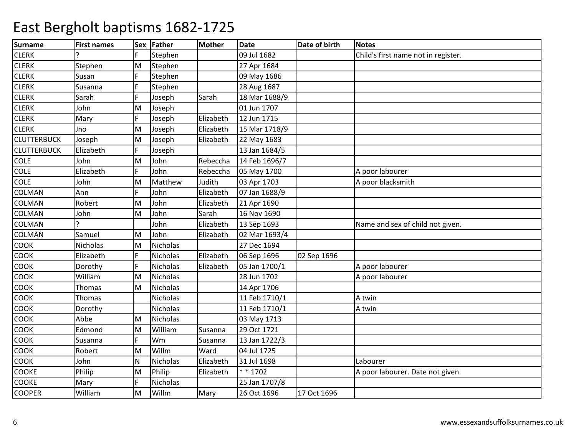| <b>Surname</b>     | <b>First names</b> |              | Sex Father      | Mother    | <b>Date</b>   | Date of birth | Notes                               |
|--------------------|--------------------|--------------|-----------------|-----------|---------------|---------------|-------------------------------------|
| <b>CLERK</b>       |                    |              | Stephen         |           | 09 Jul 1682   |               | Child's first name not in register. |
| <b>CLERK</b>       | Stephen            | M            | Stephen         |           | 27 Apr 1684   |               |                                     |
| <b>CLERK</b>       | Susan              | F            | Stephen         |           | 09 May 1686   |               |                                     |
| <b>CLERK</b>       | Susanna            | F            | Stephen         |           | 28 Aug 1687   |               |                                     |
| <b>CLERK</b>       | Sarah              | F            | Joseph          | Sarah     | 18 Mar 1688/9 |               |                                     |
| <b>CLERK</b>       | John               | M            | Joseph          |           | 01 Jun 1707   |               |                                     |
| <b>CLERK</b>       | Mary               | F            | Joseph          | Elizabeth | 12 Jun 1715   |               |                                     |
| <b>CLERK</b>       | Jno                | M            | Joseph          | Elizabeth | 15 Mar 1718/9 |               |                                     |
| <b>CLUTTERBUCK</b> | Joseph             | M            | Joseph          | Elizabeth | 22 May 1683   |               |                                     |
| <b>CLUTTERBUCK</b> | Elizabeth          |              | Joseph          |           | 13 Jan 1684/5 |               |                                     |
| COLE               | John               | M            | John            | Rebeccha  | 14 Feb 1696/7 |               |                                     |
| <b>COLE</b>        | Elizabeth          | F.           | John            | Rebeccha  | 05 May 1700   |               | A poor labourer                     |
| <b>COLE</b>        | John               | M            | Matthew         | Judith    | 03 Apr 1703   |               | A poor blacksmith                   |
| COLMAN             | Ann                | F            | John            | Elizabeth | 07 Jan 1688/9 |               |                                     |
| COLMAN             | Robert             | M            | John            | Elizabeth | 21 Apr 1690   |               |                                     |
| COLMAN             | John               | M            | John            | Sarah     | 16 Nov 1690   |               |                                     |
| COLMAN             | ς                  |              | John            | Elizabeth | 13 Sep 1693   |               | Name and sex of child not given.    |
| COLMAN             | Samuel             | M            | John            | Elizabeth | 02 Mar 1693/4 |               |                                     |
| COOK               | Nicholas           | lм           | <b>Nicholas</b> |           | 27 Dec 1694   |               |                                     |
| COOK               | Elizabeth          | F            | Nicholas        | Elizabeth | 06 Sep 1696   | 02 Sep 1696   |                                     |
| COOK               | Dorothy            |              | Nicholas        | Elizabeth | 05 Jan 1700/1 |               | A poor labourer                     |
| COOK               | William            | M            | Nicholas        |           | 28 Jun 1702   |               | A poor labourer                     |
| COOK               | Thomas             | lм           | Nicholas        |           | 14 Apr 1706   |               |                                     |
| COOK               | Thomas             |              | Nicholas        |           | 11 Feb 1710/1 |               | A twin                              |
| COOK               | Dorothy            |              | Nicholas        |           | 11 Feb 1710/1 |               | A twin                              |
| COOK               | Abbe               | M            | Nicholas        |           | 03 May 1713   |               |                                     |
| COOK               | Edmond             | M            | William         | Susanna   | 29 Oct 1721   |               |                                     |
| COOK               | Susanna            | F            | Wm              | Susanna   | 13 Jan 1722/3 |               |                                     |
| COOK               | Robert             | M            | Willm           | Ward      | 04 Jul 1725   |               |                                     |
| COOK               | John               | $\mathsf{N}$ | Nicholas        | Elizabeth | 31 Jul 1698   |               | Labourer                            |
| COOKE              | Philip             | lм           | Philip          | Elizabeth | $* * 1702$    |               | A poor labourer. Date not given.    |
| <b>COOKE</b>       | Mary               | F            | Nicholas        |           | 25 Jan 1707/8 |               |                                     |
| <b>COOPER</b>      | William            | lм           | Willm           | Mary      | 26 Oct 1696   | 17 Oct 1696   |                                     |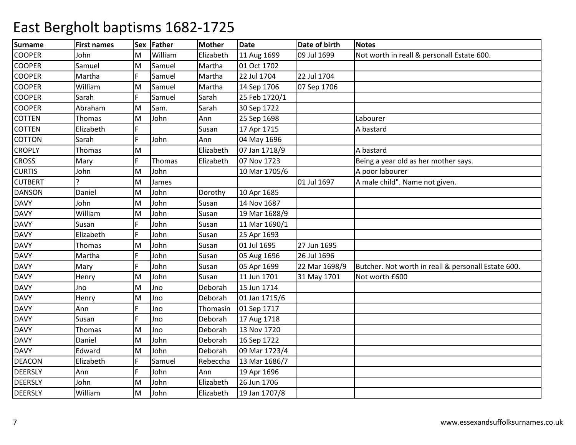| <b>Surname</b> | <b>First names</b> | <b>Sex</b> | Father  | <b>Mother</b> | <b>Date</b>   | Date of birth | Notes                                               |
|----------------|--------------------|------------|---------|---------------|---------------|---------------|-----------------------------------------------------|
| <b>COOPER</b>  | John               | M          | William | Elizabeth     | 11 Aug 1699   | 09 Jul 1699   | Not worth in reall & personall Estate 600.          |
| <b>COOPER</b>  | Samuel             | lм         | Samuel  | Martha        | 01 Oct 1702   |               |                                                     |
| <b>COOPER</b>  | Martha             | F.         | Samuel  | Martha        | 22 Jul 1704   | 22 Jul 1704   |                                                     |
| <b>COOPER</b>  | William            | M          | Samuel  | Martha        | 14 Sep 1706   | 07 Sep 1706   |                                                     |
| <b>COOPER</b>  | Sarah              |            | Samuel  | Sarah         | 25 Feb 1720/1 |               |                                                     |
| <b>COOPER</b>  | Abraham            | M          | Sam.    | Sarah         | 30 Sep 1722   |               |                                                     |
| <b>COTTEN</b>  | Thomas             | M          | John    | Ann           | 25 Sep 1698   |               | Labourer                                            |
| <b>COTTEN</b>  | Elizabeth          | F.         |         | Susan         | 17 Apr 1715   |               | A bastard                                           |
| <b>COTTON</b>  | Sarah              | F          | John    | Ann           | 04 May 1696   |               |                                                     |
| <b>CROPLY</b>  | Thomas             | M          |         | Elizabeth     | 07 Jan 1718/9 |               | A bastard                                           |
| <b>CROSS</b>   | Mary               | F          | Thomas  | Elizabeth     | 07 Nov 1723   |               | Being a year old as her mother says.                |
| <b>CURTIS</b>  | John               | M          | John    |               | 10 Mar 1705/6 |               | A poor labourer                                     |
| <b>CUTBERT</b> | ς                  | M          | James   |               |               | 01 Jul 1697   | A male child". Name not given.                      |
| <b>DANSON</b>  | Daniel             | M          | John    | Dorothy       | 10 Apr 1685   |               |                                                     |
| <b>DAVY</b>    | John               | M          | John    | Susan         | 14 Nov 1687   |               |                                                     |
| <b>DAVY</b>    | William            | M          | John    | Susan         | 19 Mar 1688/9 |               |                                                     |
| <b>DAVY</b>    | Susan              | F          | John    | Susan         | 11 Mar 1690/1 |               |                                                     |
| <b>DAVY</b>    | Elizabeth          | F          | John    | Susan         | 25 Apr 1693   |               |                                                     |
| <b>DAVY</b>    | Thomas             | M          | John    | Susan         | 01 Jul 1695   | 27 Jun 1695   |                                                     |
| <b>DAVY</b>    | Martha             | F          | John    | Susan         | 05 Aug 1696   | 26 Jul 1696   |                                                     |
| <b>DAVY</b>    | Mary               | F          | John    | Susan         | 05 Apr 1699   | 22 Mar 1698/9 | Butcher. Not worth in reall & personall Estate 600. |
| <b>DAVY</b>    | Henry              | M          | John    | Susan         | 11 Jun 1701   | 31 May 1701   | Not worth £600                                      |
| <b>DAVY</b>    | Jno                | M          | Jno     | Deborah       | 15 Jun 1714   |               |                                                     |
| <b>DAVY</b>    | Henry              | M          | Jno     | Deborah       | 01 Jan 1715/6 |               |                                                     |
| <b>DAVY</b>    | Ann                |            | Jno     | Thomasin      | 01 Sep 1717   |               |                                                     |
| <b>DAVY</b>    | Susan              |            | Jno     | Deborah       | 17 Aug 1718   |               |                                                     |
| <b>DAVY</b>    | Thomas             | M          | Jno     | Deborah       | 13 Nov 1720   |               |                                                     |
| <b>DAVY</b>    | Daniel             | M          | John    | Deborah       | 16 Sep 1722   |               |                                                     |
| <b>DAVY</b>    | Edward             | M          | John    | Deborah       | 09 Mar 1723/4 |               |                                                     |
| <b>DEACON</b>  | Elizabeth          |            | Samuel  | Rebeccha      | 13 Mar 1686/7 |               |                                                     |
| <b>DEERSLY</b> | Ann                |            | John    | Ann           | 19 Apr 1696   |               |                                                     |
| DEERSLY        | John               | M          | John    | Elizabeth     | 26 Jun 1706   |               |                                                     |
| <b>DEERSLY</b> | William            | lм         | John    | Elizabeth     | 19 Jan 1707/8 |               |                                                     |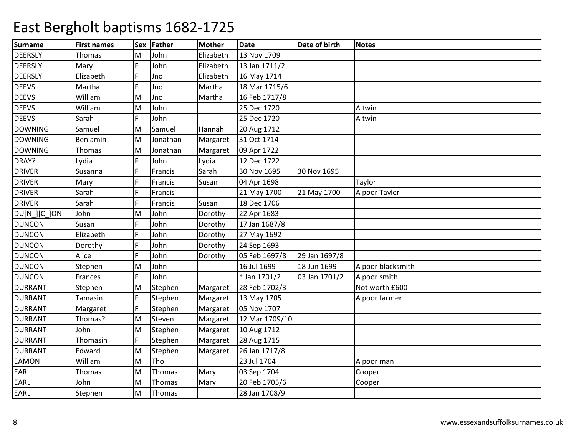| <b>Surname</b> | <b>First names</b> | <b>Sex</b> | Father   | <b>Mother</b> | <b>Date</b>    | Date of birth | <b>Notes</b>      |
|----------------|--------------------|------------|----------|---------------|----------------|---------------|-------------------|
| <b>DEERSLY</b> | Thomas             | м          | John     | Elizabeth     | 13 Nov 1709    |               |                   |
| <b>DEERSLY</b> | Mary               | F          | John     | Elizabeth     | 13 Jan 1711/2  |               |                   |
| <b>DEERSLY</b> | Elizabeth          | F          | Jno      | Elizabeth     | 16 May 1714    |               |                   |
| <b>DEEVS</b>   | Martha             |            | Jno      | Martha        | 18 Mar 1715/6  |               |                   |
| <b>DEEVS</b>   | William            | M          | Jno      | Martha        | 16 Feb 1717/8  |               |                   |
| <b>DEEVS</b>   | William            | M          | John     |               | 25 Dec 1720    |               | A twin            |
| <b>DEEVS</b>   | Sarah              | Ē          | John     |               | 25 Dec 1720    |               | A twin            |
| <b>DOWNING</b> | Samuel             | м          | Samuel   | Hannah        | 20 Aug 1712    |               |                   |
| <b>DOWNING</b> | Benjamin           | M          | Jonathan | Margaret      | 31 Oct 1714    |               |                   |
| <b>DOWNING</b> | Thomas             | M          | Jonathan | Margaret      | 09 Apr 1722    |               |                   |
| DRAY?          | Lydia              | F          | John     | Lydia         | 12 Dec 1722    |               |                   |
| <b>DRIVER</b>  | Susanna            |            | Francis  | Sarah         | 30 Nov 1695    | 30 Nov 1695   |                   |
| <b>DRIVER</b>  | Mary               |            | Francis  | Susan         | 04 Apr 1698    |               | Taylor            |
| <b>DRIVER</b>  | Sarah              |            | Francis  |               | 21 May 1700    | 21 May 1700   | A poor Tayler     |
| <b>DRIVER</b>  | Sarah              |            | Francis  | Susan         | 18 Dec 1706    |               |                   |
| DU[N ][C ]ON   | John               | м          | John     | Dorothy       | 22 Apr 1683    |               |                   |
| <b>DUNCON</b>  | Susan              |            | John     | Dorothy       | 17 Jan 1687/8  |               |                   |
| <b>DUNCON</b>  | Elizabeth          | Ē          | John     | Dorothy       | 27 May 1692    |               |                   |
| <b>DUNCON</b>  | Dorothy            |            | John     | Dorothy       | 24 Sep 1693    |               |                   |
| <b>DUNCON</b>  | Alice              |            | John     | Dorothy       | 05 Feb 1697/8  | 29 Jan 1697/8 |                   |
| <b>DUNCON</b>  | Stephen            | M          | John     |               | 16 Jul 1699    | 18 Jun 1699   | A poor blacksmith |
| <b>DUNCON</b>  | Frances            | E          | John     |               | * Jan 1701/2   | 03 Jan 1701/2 | A poor smith      |
| <b>DURRANT</b> | Stephen            | M          | Stephen  | Margaret      | 28 Feb 1702/3  |               | Not worth £600    |
| <b>DURRANT</b> | Tamasin            | F          | Stephen  | Margaret      | 13 May 1705    |               | A poor farmer     |
| <b>DURRANT</b> | Margaret           |            | Stephen  | Margaret      | 05 Nov 1707    |               |                   |
| <b>DURRANT</b> | Thomas?            | M          | Steven   | Margaret      | 12 Mar 1709/10 |               |                   |
| <b>DURRANT</b> | John               | M          | Stephen  | Margaret      | 10 Aug 1712    |               |                   |
| <b>DURRANT</b> | Thomasin           | F          | Stephen  | Margaret      | 28 Aug 1715    |               |                   |
| <b>DURRANT</b> | Edward             | M          | Stephen  | Margaret      | 26 Jan 1717/8  |               |                   |
| <b>EAMON</b>   | William            | M          | Tho      |               | 23 Jul 1704    |               | A poor man        |
| EARL           | Thomas             | M          | Thomas   | Mary          | 03 Sep 1704    |               | Cooper            |
| EARL           | John               | M          | Thomas   | Mary          | 20 Feb 1705/6  |               | Cooper            |
| EARL           | Stephen            | M          | Thomas   |               | 28 Jan 1708/9  |               |                   |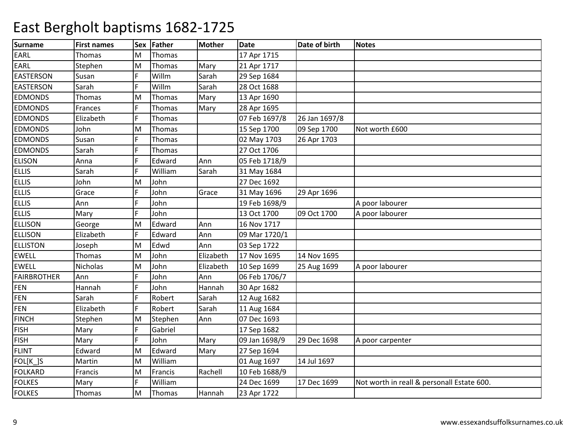| <b>Surname</b>     | <b>First names</b> | <b>Sex</b> | Father  | <b>Mother</b> | <b>Date</b>   | Date of birth | <b>Notes</b>                               |
|--------------------|--------------------|------------|---------|---------------|---------------|---------------|--------------------------------------------|
| EARL               | Thomas             | M          | Thomas  |               | 17 Apr 1715   |               |                                            |
| EARL               | Stephen            | lм         | Thomas  | Mary          | 21 Apr 1717   |               |                                            |
| <b>EASTERSON</b>   | Susan              | F          | Willm   | Sarah         | 29 Sep 1684   |               |                                            |
| <b>EASTERSON</b>   | Sarah              |            | Willm   | Sarah         | 28 Oct 1688   |               |                                            |
| <b>EDMONDS</b>     | Thomas             | M          | Thomas  | Mary          | 13 Apr 1690   |               |                                            |
| <b>EDMONDS</b>     | Frances            | F          | Thomas  | Mary          | 28 Apr 1695   |               |                                            |
| <b>EDMONDS</b>     | Elizabeth          | F          | Thomas  |               | 07 Feb 1697/8 | 26 Jan 1697/8 |                                            |
| <b>EDMONDS</b>     | John               | lм         | Thomas  |               | 15 Sep 1700   | 09 Sep 1700   | Not worth £600                             |
| <b>EDMONDS</b>     | Susan              | F          | Thomas  |               | 02 May 1703   | 26 Apr 1703   |                                            |
| <b>EDMONDS</b>     | Sarah              |            | Thomas  |               | 27 Oct 1706   |               |                                            |
| <b>ELISON</b>      | Anna               | F          | Edward  | Ann           | 05 Feb 1718/9 |               |                                            |
| <b>ELLIS</b>       | Sarah              | F          | William | Sarah         | 31 May 1684   |               |                                            |
| <b>ELLIS</b>       | John               | M          | John    |               | 27 Dec 1692   |               |                                            |
| <b>ELLIS</b>       | Grace              |            | John    | Grace         | 31 May 1696   | 29 Apr 1696   |                                            |
| <b>ELLIS</b>       | Ann                |            | John    |               | 19 Feb 1698/9 |               | A poor labourer                            |
| <b>ELLIS</b>       | Mary               | F          | John    |               | 13 Oct 1700   | 09 Oct 1700   | A poor labourer                            |
| <b>ELLISON</b>     | George             | M          | Edward  | Ann           | 16 Nov 1717   |               |                                            |
| <b>ELLISON</b>     | Elizabeth          | F          | Edward  | Ann           | 09 Mar 1720/1 |               |                                            |
| <b>ELLISTON</b>    | Joseph             | M          | Edwd    | Ann           | 03 Sep 1722   |               |                                            |
| <b>EWELL</b>       | Thomas             | M          | John    | Elizabeth     | 17 Nov 1695   | 14 Nov 1695   |                                            |
| <b>EWELL</b>       | <b>Nicholas</b>    | M          | John    | Elizabeth     | 10 Sep 1699   | 25 Aug 1699   | A poor labourer                            |
| <b>FAIRBROTHER</b> | Ann                | F          | John    | Ann           | 06 Feb 1706/7 |               |                                            |
| <b>FEN</b>         | Hannah             | F          | John    | Hannah        | 30 Apr 1682   |               |                                            |
| <b>FEN</b>         | Sarah              | F          | Robert  | Sarah         | 12 Aug 1682   |               |                                            |
| <b>FEN</b>         | Elizabeth          | F          | Robert  | Sarah         | 11 Aug 1684   |               |                                            |
| <b>FINCH</b>       | Stephen            | lм         | Stephen | Ann           | 07 Dec 1693   |               |                                            |
| <b>FISH</b>        | Mary               | F          | Gabriel |               | 17 Sep 1682   |               |                                            |
| <b>FISH</b>        | Mary               | F          | John    | Mary          | 09 Jan 1698/9 | 29 Dec 1698   | A poor carpenter                           |
| <b>FLINT</b>       | Edward             | M          | Edward  | Mary          | 27 Sep 1694   |               |                                            |
| FOL[K_]S           | Martin             | M          | William |               | 01 Aug 1697   | 14 Jul 1697   |                                            |
| <b>FOLKARD</b>     | Francis            | lм         | Francis | Rachell       | 10 Feb 1688/9 |               |                                            |
| <b>FOLKES</b>      | Mary               | F          | William |               | 24 Dec 1699   | 17 Dec 1699   | Not worth in reall & personall Estate 600. |
| <b>FOLKES</b>      | Thomas             | lм         | Thomas  | Hannah        | 23 Apr 1722   |               |                                            |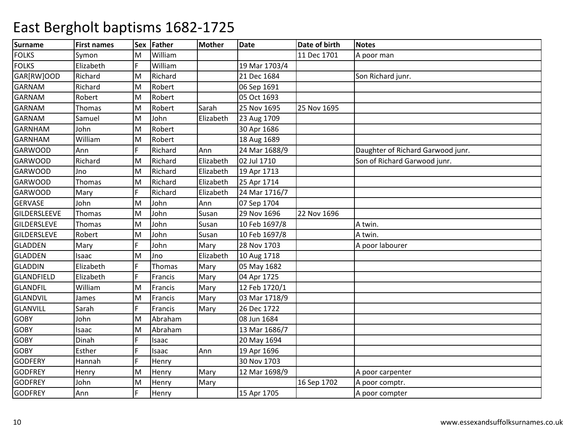| <b>Surname</b>      | <b>First names</b> | Sex | Father  | <b>Mother</b> | <b>Date</b>   | Date of birth | <b>Notes</b>                      |
|---------------------|--------------------|-----|---------|---------------|---------------|---------------|-----------------------------------|
| <b>FOLKS</b>        | Symon              | м   | William |               |               | 11 Dec 1701   | A poor man                        |
| <b>FOLKS</b>        | Elizabeth          | F   | William |               | 19 Mar 1703/4 |               |                                   |
| GAR[RW]OOD          | Richard            | M   | Richard |               | 21 Dec 1684   |               | Son Richard junr.                 |
| <b>GARNAM</b>       | Richard            | M   | Robert  |               | 06 Sep 1691   |               |                                   |
| <b>GARNAM</b>       | Robert             | M   | Robert  |               | 05 Oct 1693   |               |                                   |
| <b>GARNAM</b>       | Thomas             | M   | Robert  | Sarah         | 25 Nov 1695   | 25 Nov 1695   |                                   |
| <b>GARNAM</b>       | Samuel             | M   | John    | Elizabeth     | 23 Aug 1709   |               |                                   |
| <b>GARNHAM</b>      | John               | M   | Robert  |               | 30 Apr 1686   |               |                                   |
| <b>GARNHAM</b>      | William            | M   | Robert  |               | 18 Aug 1689   |               |                                   |
| <b>GARWOOD</b>      | Ann                |     | Richard | Ann           | 24 Mar 1688/9 |               | Daughter of Richard Garwood junr. |
| <b>GARWOOD</b>      | Richard            | M   | Richard | Elizabeth     | 02 Jul 1710   |               | Son of Richard Garwood junr.      |
| <b>GARWOOD</b>      | Jno                | M   | Richard | Elizabeth     | 19 Apr 1713   |               |                                   |
| <b>GARWOOD</b>      | Thomas             | M   | Richard | Elizabeth     | 25 Apr 1714   |               |                                   |
| <b>GARWOOD</b>      | Mary               |     | Richard | Elizabeth     | 24 Mar 1716/7 |               |                                   |
| <b>GERVASE</b>      | John               | M   | John    | Ann           | 07 Sep 1704   |               |                                   |
| <b>GILDERSLEEVE</b> | Thomas             | M   | John    | Susan         | 29 Nov 1696   | 22 Nov 1696   |                                   |
| <b>GILDERSLEVE</b>  | Thomas             | M   | John    | Susan         | 10 Feb 1697/8 |               | A twin.                           |
| <b>GILDERSLEVE</b>  | Robert             | M   | John    | Susan         | 10 Feb 1697/8 |               | A twin.                           |
| <b>GLADDEN</b>      | Mary               |     | John    | Mary          | 28 Nov 1703   |               | A poor labourer                   |
| <b>GLADDEN</b>      | Isaac              | M   | Jno     | Elizabeth     | 10 Aug 1718   |               |                                   |
| <b>GLADDIN</b>      | Elizabeth          | F   | Thomas  | Mary          | 05 May 1682   |               |                                   |
| <b>GLANDFIELD</b>   | Elizabeth          | F   | Francis | Mary          | 04 Apr 1725   |               |                                   |
| <b>GLANDFIL</b>     | William            | M   | Francis | Mary          | 12 Feb 1720/1 |               |                                   |
| <b>GLANDVIL</b>     | James              | M   | Francis | Mary          | 03 Mar 1718/9 |               |                                   |
| <b>GLANVILL</b>     | Sarah              |     | Francis | Mary          | 26 Dec 1722   |               |                                   |
| <b>GOBY</b>         | John               | M   | Abraham |               | 08 Jun 1684   |               |                                   |
| <b>GOBY</b>         | Isaac              | M   | Abraham |               | 13 Mar 1686/7 |               |                                   |
| <b>GOBY</b>         | Dinah              | Ē   | Isaac   |               | 20 May 1694   |               |                                   |
| <b>GOBY</b>         | Esther             | F   | Isaac   | Ann           | 19 Apr 1696   |               |                                   |
| <b>GODFERY</b>      | Hannah             |     | Henry   |               | 30 Nov 1703   |               |                                   |
| <b>GODFREY</b>      | Henry              | M   | Henry   | Mary          | 12 Mar 1698/9 |               | A poor carpenter                  |
| <b>GODFREY</b>      | John               | M   | Henry   | Mary          |               | 16 Sep 1702   | A poor comptr.                    |
| <b>GODFREY</b>      | Ann                | F   | Henry   |               | 15 Apr 1705   |               | A poor compter                    |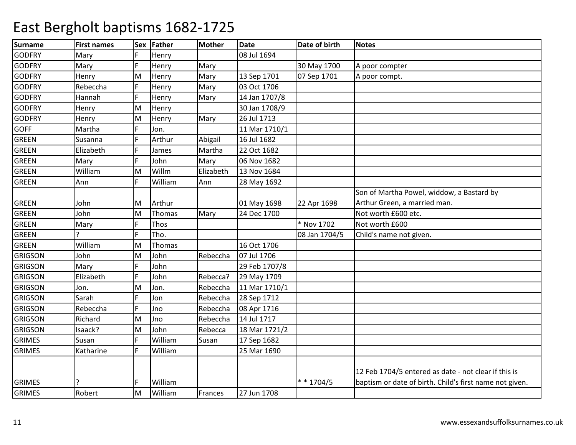| <b>Surname</b> | <b>First names</b> | <b>Sex</b> | Father  | <b>Mother</b> | <b>Date</b>   | Date of birth | <b>Notes</b>                                            |
|----------------|--------------------|------------|---------|---------------|---------------|---------------|---------------------------------------------------------|
| <b>GODFRY</b>  | Mary               | E          | Henry   |               | 08 Jul 1694   |               |                                                         |
| <b>GODFRY</b>  | Mary               | F          | Henry   | Mary          |               | 30 May 1700   | A poor compter                                          |
| <b>GODFRY</b>  | Henry              | M          | Henry   | Mary          | 13 Sep 1701   | 07 Sep 1701   | A poor compt.                                           |
| <b>GODFRY</b>  | Rebeccha           |            | Henry   | Mary          | 03 Oct 1706   |               |                                                         |
| <b>GODFRY</b>  | Hannah             | F          | Henry   | Mary          | 14 Jan 1707/8 |               |                                                         |
| <b>GODFRY</b>  | Henry              | M          | Henry   |               | 30 Jan 1708/9 |               |                                                         |
| <b>GODFRY</b>  | Henry              | M          | Henry   | Mary          | 26 Jul 1713   |               |                                                         |
| <b>GOFF</b>    | Martha             | F          | Jon.    |               | 11 Mar 1710/1 |               |                                                         |
| <b>GREEN</b>   | Susanna            | F          | Arthur  | Abigail       | 16 Jul 1682   |               |                                                         |
| <b>GREEN</b>   | Elizabeth          | F          | James   | Martha        | 22 Oct 1682   |               |                                                         |
| <b>GREEN</b>   | Mary               | F          | John    | Mary          | 06 Nov 1682   |               |                                                         |
| <b>GREEN</b>   | William            | M          | Willm   | Elizabeth     | 13 Nov 1684   |               |                                                         |
| <b>GREEN</b>   | Ann                | F          | William | Ann           | 28 May 1692   |               |                                                         |
|                |                    |            |         |               |               |               | Son of Martha Powel, widdow, a Bastard by               |
| <b>GREEN</b>   | John               | M          | Arthur  |               | 01 May 1698   | 22 Apr 1698   | Arthur Green, a married man.                            |
| <b>GREEN</b>   | John               | M          | Thomas  | Mary          | 24 Dec 1700   |               | Not worth £600 etc.                                     |
| <b>GREEN</b>   | Mary               | F          | Thos    |               |               | * Nov 1702    | Not worth £600                                          |
| <b>GREEN</b>   | C                  | F          | Tho.    |               |               | 08 Jan 1704/5 | Child's name not given.                                 |
| <b>GREEN</b>   | William            | M          | Thomas  |               | 16 Oct 1706   |               |                                                         |
| <b>GRIGSON</b> | John               | M          | John    | Rebeccha      | 07 Jul 1706   |               |                                                         |
| <b>GRIGSON</b> | Mary               | F          | John    |               | 29 Feb 1707/8 |               |                                                         |
| <b>GRIGSON</b> | Elizabeth          | F          | John    | Rebecca?      | 29 May 1709   |               |                                                         |
| <b>GRIGSON</b> | Jon.               | M          | Jon.    | Rebeccha      | 11 Mar 1710/1 |               |                                                         |
| <b>GRIGSON</b> | Sarah              | Ē          | Jon     | Rebeccha      | 28 Sep 1712   |               |                                                         |
| <b>GRIGSON</b> | Rebeccha           | F          | Jno     | Rebeccha      | 08 Apr 1716   |               |                                                         |
| <b>GRIGSON</b> | Richard            | M          | Jno     | Rebeccha      | 14 Jul 1717   |               |                                                         |
| <b>GRIGSON</b> | Isaack?            | M          | John    | Rebecca       | 18 Mar 1721/2 |               |                                                         |
| <b>GRIMES</b>  | Susan              | F          | William | Susan         | 17 Sep 1682   |               |                                                         |
| <b>GRIMES</b>  | Katharine          | Ē          | William |               | 25 Mar 1690   |               |                                                         |
|                |                    |            |         |               |               |               |                                                         |
|                |                    |            |         |               |               |               | 12 Feb 1704/5 entered as date - not clear if this is    |
| <b>GRIMES</b>  |                    |            | William |               |               | $* * 1704/5$  | baptism or date of birth. Child's first name not given. |
| <b>GRIMES</b>  | Robert             | lм         | William | Frances       | 27 Jun 1708   |               |                                                         |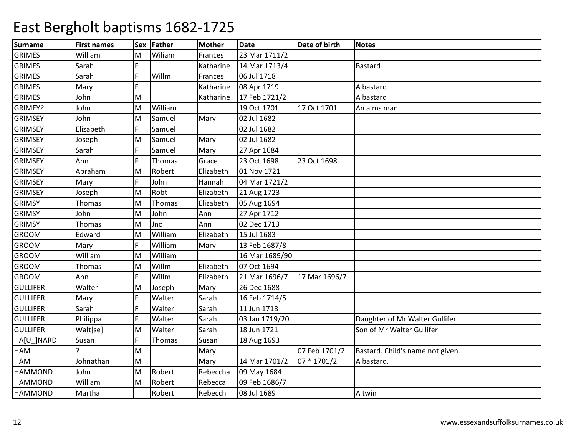| <b>Surname</b>  | <b>First names</b> | <b>Sex</b> | Father  | <b>Mother</b> | <b>Date</b>    | Date of birth | <b>Notes</b>                     |
|-----------------|--------------------|------------|---------|---------------|----------------|---------------|----------------------------------|
| <b>GRIMES</b>   | William            | м          | Wiliam  | Frances       | 23 Mar 1711/2  |               |                                  |
| <b>GRIMES</b>   | Sarah              | E          |         | Katharine     | 14 Mar 1713/4  |               | Bastard                          |
| <b>GRIMES</b>   | Sarah              | F          | Willm   | Frances       | 06 Jul 1718    |               |                                  |
| <b>GRIMES</b>   | Mary               |            |         | Katharine     | 08 Apr 1719    |               | A bastard                        |
| <b>GRIMES</b>   | John               | M          |         | Katharine     | 17 Feb 1721/2  |               | A bastard                        |
| GRIMEY?         | John               | M          | William |               | 19 Oct 1701    | 17 Oct 1701   | An alms man.                     |
| <b>GRIMSEY</b>  | John               | M          | Samuel  | Mary          | 02 Jul 1682    |               |                                  |
| <b>GRIMSEY</b>  | Elizabeth          | Ē          | Samuel  |               | 02 Jul 1682    |               |                                  |
| <b>GRIMSEY</b>  | Joseph             | M          | Samuel  | Mary          | 02 Jul 1682    |               |                                  |
| <b>GRIMSEY</b>  | Sarah              | F          | Samuel  | Mary          | 27 Apr 1684    |               |                                  |
| <b>GRIMSEY</b>  | Ann                |            | Thomas  | Grace         | 23 Oct 1698    | 23 Oct 1698   |                                  |
| <b>GRIMSEY</b>  | Abraham            | M          | Robert  | Elizabeth     | 01 Nov 1721    |               |                                  |
| <b>GRIMSEY</b>  | Mary               | Ē          | John    | Hannah        | 04 Mar 1721/2  |               |                                  |
| <b>GRIMSEY</b>  | Joseph             | M          | Robt    | Elizabeth     | 21 Aug 1723    |               |                                  |
| <b>GRIMSY</b>   | Thomas             | M          | Thomas  | Elizabeth     | 05 Aug 1694    |               |                                  |
| <b>GRIMSY</b>   | John               | M          | John    | Ann           | 27 Apr 1712    |               |                                  |
| <b>GRIMSY</b>   | Thomas             | M          | Jno     | Ann           | 02 Dec 1713    |               |                                  |
| <b>GROOM</b>    | Edward             | M          | William | Elizabeth     | 15 Jul 1683    |               |                                  |
| <b>GROOM</b>    | Mary               | F          | William | Mary          | 13 Feb 1687/8  |               |                                  |
| <b>GROOM</b>    | William            | M          | William |               | 16 Mar 1689/90 |               |                                  |
| <b>GROOM</b>    | Thomas             | M          | Willm   | Elizabeth     | 07 Oct 1694    |               |                                  |
| <b>GROOM</b>    | Ann                | E          | Willm   | Elizabeth     | 21 Mar 1696/7  | 17 Mar 1696/7 |                                  |
| <b>GULLIFER</b> | Walter             | M          | Joseph  | Mary          | 26 Dec 1688    |               |                                  |
| <b>GULLIFER</b> | Mary               |            | Walter  | Sarah         | 16 Feb 1714/5  |               |                                  |
| <b>GULLIFER</b> | Sarah              |            | Walter  | Sarah         | 11 Jun 1718    |               |                                  |
| <b>GULLIFER</b> | Philippa           |            | Walter  | Sarah         | 03 Jan 1719/20 |               | Daughter of Mr Walter Gullifer   |
| <b>GULLIFER</b> | Walt[se]           | M          | Walter  | Sarah         | 18 Jun 1721    |               | Son of Mr Walter Gullifer        |
| HA[U_]NARD      | Susan              | F          | Thomas  | Susan         | 18 Aug 1693    |               |                                  |
| HAM             |                    | M          |         | Mary          |                | 07 Feb 1701/2 | Bastard. Child's name not given. |
| HAM             | Johnathan          | M          |         | Mary          | 14 Mar 1701/2  | 07 * 1701/2   | A bastard.                       |
| <b>HAMMOND</b>  | John               | M          | Robert  | Rebeccha      | 09 May 1684    |               |                                  |
| <b>HAMMOND</b>  | William            | M          | Robert  | Rebecca       | 09 Feb 1686/7  |               |                                  |
| <b>HAMMOND</b>  | Martha             |            | Robert  | Rebecch       | 08 Jul 1689    |               | A twin                           |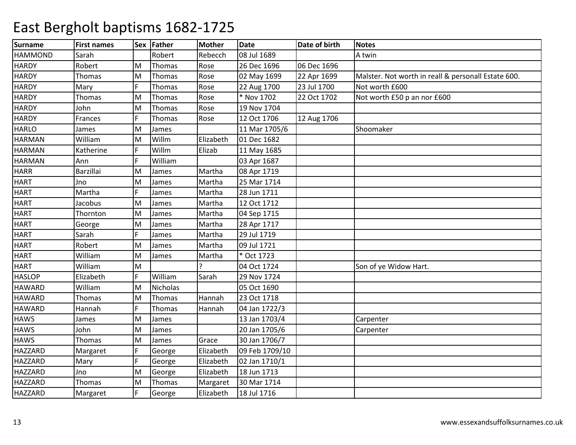| <b>Surname</b> | <b>First names</b> |   | Sex Father      | Mother    | <b>Date</b>    | Date of birth | <b>Notes</b>                                        |
|----------------|--------------------|---|-----------------|-----------|----------------|---------------|-----------------------------------------------------|
| <b>HAMMOND</b> | Sarah              |   | Robert          | Rebecch   | 08 Jul 1689    |               | A twin                                              |
| <b>HARDY</b>   | Robert             | M | Thomas          | Rose      | 26 Dec 1696    | 06 Dec 1696   |                                                     |
| <b>HARDY</b>   | Thomas             | M | Thomas          | Rose      | 02 May 1699    | 22 Apr 1699   | Malster. Not worth in reall & personall Estate 600. |
| <b>HARDY</b>   | Mary               |   | Thomas          | Rose      | 22 Aug 1700    | 23 Jul 1700   | Not worth £600                                      |
| <b>HARDY</b>   | Thomas             | M | Thomas          | Rose      | * Nov 1702     | 22 Oct 1702   | Not worth £50 p an nor £600                         |
| <b>HARDY</b>   | John               | M | Thomas          | Rose      | 19 Nov 1704    |               |                                                     |
| <b>HARDY</b>   | Frances            | F | Thomas          | Rose      | 12 Oct 1706    | 12 Aug 1706   |                                                     |
| <b>HARLO</b>   | James              | M | James           |           | 11 Mar 1705/6  |               | Shoomaker                                           |
| <b>HARMAN</b>  | William            | M | Willm           | Elizabeth | 01 Dec 1682    |               |                                                     |
| <b>HARMAN</b>  | Katherine          | F | Willm           | Elizab    | 11 May 1685    |               |                                                     |
| <b>HARMAN</b>  | Ann                |   | William         |           | 03 Apr 1687    |               |                                                     |
| <b>HARR</b>    | Barzillai          | M | James           | Martha    | 08 Apr 1719    |               |                                                     |
| <b>HART</b>    | Jno                | M | James           | Martha    | 25 Mar 1714    |               |                                                     |
| <b>HART</b>    | Martha             |   | James           | Martha    | 28 Jun 1711    |               |                                                     |
| <b>HART</b>    | Jacobus            | M | James           | Martha    | 12 Oct 1712    |               |                                                     |
| <b>HART</b>    | Thornton           | M | James           | Martha    | 04 Sep 1715    |               |                                                     |
| <b>HART</b>    | George             | M | James           | Martha    | 28 Apr 1717    |               |                                                     |
| <b>HART</b>    | Sarah              | F | James           | Martha    | 29 Jul 1719    |               |                                                     |
| <b>HART</b>    | Robert             | M | James           | Martha    | 09 Jul 1721    |               |                                                     |
| <b>HART</b>    | William            | M | James           | Martha    | * Oct 1723     |               |                                                     |
| <b>HART</b>    | William            | M |                 |           | 04 Oct 1724    |               | Son of ye Widow Hart.                               |
| <b>HASLOP</b>  | Elizabeth          | F | William         | Sarah     | 29 Nov 1724    |               |                                                     |
| <b>HAWARD</b>  | William            | M | <b>Nicholas</b> |           | 05 Oct 1690    |               |                                                     |
| <b>HAWARD</b>  | Thomas             | M | Thomas          | Hannah    | 23 Oct 1718    |               |                                                     |
| <b>HAWARD</b>  | Hannah             |   | Thomas          | Hannah    | 04 Jan 1722/3  |               |                                                     |
| <b>HAWS</b>    | James              | M | James           |           | 13 Jan 1703/4  |               | Carpenter                                           |
| <b>HAWS</b>    | John               | M | James           |           | 20 Jan 1705/6  |               | Carpenter                                           |
| <b>HAWS</b>    | Thomas             | M | James           | Grace     | 30 Jan 1706/7  |               |                                                     |
| HAZZARD        | Margaret           | F | George          | Elizabeth | 09 Feb 1709/10 |               |                                                     |
| HAZZARD        | Mary               |   | George          | Elizabeth | 02 Jan 1710/1  |               |                                                     |
| <b>HAZZARD</b> | Jno                | M | George          | Elizabeth | 18 Jun 1713    |               |                                                     |
| HAZZARD        | Thomas             | M | Thomas          | Margaret  | 30 Mar 1714    |               |                                                     |
| HAZZARD        | Margaret           | F | George          | Elizabeth | 18 Jul 1716    |               |                                                     |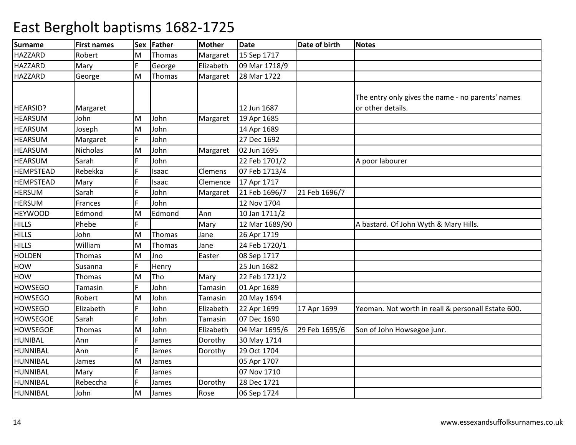| <b>Surname</b>   | <b>First names</b> | Sex | Father | <b>Mother</b>  | <b>Date</b>    | Date of birth | <b>Notes</b>                                       |
|------------------|--------------------|-----|--------|----------------|----------------|---------------|----------------------------------------------------|
| <b>HAZZARD</b>   | Robert             | м   | Thomas | Margaret       | 15 Sep 1717    |               |                                                    |
| <b>HAZZARD</b>   | Mary               | F   | George | Elizabeth      | 09 Mar 1718/9  |               |                                                    |
| <b>HAZZARD</b>   | George             | M   | Thomas | Margaret       | 28 Mar 1722    |               |                                                    |
|                  |                    |     |        |                |                |               | The entry only gives the name - no parents' names  |
| HEARSID?         | Margaret           |     |        |                | 12 Jun 1687    |               | or other details.                                  |
| <b>HEARSUM</b>   | John               | M   | John   | Margaret       | 19 Apr 1685    |               |                                                    |
| <b>HEARSUM</b>   | Joseph             | M   | John   |                | 14 Apr 1689    |               |                                                    |
| <b>HEARSUM</b>   | Margaret           |     | John   |                | 27 Dec 1692    |               |                                                    |
| <b>HEARSUM</b>   | Nicholas           | M   | John   | Margaret       | 02 Jun 1695    |               |                                                    |
| <b>HEARSUM</b>   | Sarah              |     | John   |                | 22 Feb 1701/2  |               | A poor labourer                                    |
| <b>HEMPSTEAD</b> | Rebekka            |     | Isaac  | Clemens        | 07 Feb 1713/4  |               |                                                    |
| <b>HEMPSTEAD</b> | Mary               | F   | Isaac  | Clemence       | 17 Apr 1717    |               |                                                    |
| <b>HERSUM</b>    | Sarah              |     | John   | Margaret       | 21 Feb 1696/7  | 21 Feb 1696/7 |                                                    |
| <b>HERSUM</b>    | <b>Frances</b>     |     | John   |                | 12 Nov 1704    |               |                                                    |
| <b>HEYWOOD</b>   | Edmond             | M   | Edmond | Ann            | 10 Jan 1711/2  |               |                                                    |
| <b>HILLS</b>     | Phebe              | Ē   |        | Mary           | 12 Mar 1689/90 |               | A bastard. Of John Wyth & Mary Hills.              |
| <b>HILLS</b>     | John               | M   | Thomas | Jane           | 26 Apr 1719    |               |                                                    |
| <b>HILLS</b>     | William            | Μ   | Thomas | Jane           | 24 Feb 1720/1  |               |                                                    |
| <b>HOLDEN</b>    | <b>Thomas</b>      | M   | Jno    | Easter         | 08 Sep 1717    |               |                                                    |
| HOW              | Susanna            | F   | Henry  |                | 25 Jun 1682    |               |                                                    |
| <b>HOW</b>       | Thomas             | M   | Tho    | Mary           | 22 Feb 1721/2  |               |                                                    |
| <b>HOWSEGO</b>   | Tamasin            | F   | John   | <b>Tamasin</b> | 01 Apr 1689    |               |                                                    |
| <b>HOWSEGO</b>   | Robert             | M   | John   | <b>Tamasin</b> | 20 May 1694    |               |                                                    |
| <b>HOWSEGO</b>   | Elizabeth          |     | John   | Elizabeth      | 22 Apr 1699    | 17 Apr 1699   | Yeoman. Not worth in reall & personall Estate 600. |
| <b>HOWSEGOE</b>  | Sarah              |     | John   | Tamasin        | 07 Dec 1690    |               |                                                    |
| <b>HOWSEGOE</b>  | Thomas             | M   | John   | Elizabeth      | 04 Mar 1695/6  | 29 Feb 1695/6 | Son of John Howsegoe junr.                         |
| <b>HUNIBAL</b>   | Ann                | F   | James  | Dorothy        | 30 May 1714    |               |                                                    |
| <b>HUNNIBAL</b>  | Ann                | Ē   | James  | Dorothy        | 29 Oct 1704    |               |                                                    |
| <b>HUNNIBAL</b>  | James              | м   | James  |                | 05 Apr 1707    |               |                                                    |
| <b>HUNNIBAL</b>  | Mary               | F   | James  |                | 07 Nov 1710    |               |                                                    |
| <b>HUNNIBAL</b>  | Rebeccha           | E   | James  | Dorothy        | 28 Dec 1721    |               |                                                    |
| <b>HUNNIBAL</b>  | John               | M   | James  | Rose           | 06 Sep 1724    |               |                                                    |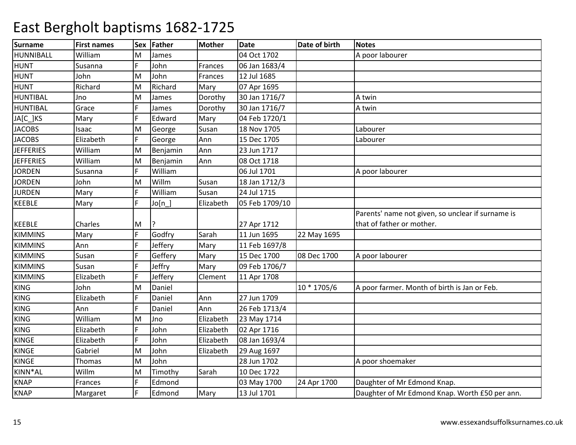| <b>Surname</b>   | <b>First names</b> | <b>Sex</b> | Father    | Mother    | <b>Date</b>    | Date of birth | Notes                                             |
|------------------|--------------------|------------|-----------|-----------|----------------|---------------|---------------------------------------------------|
| HUNNIBALL        | William            | M          | James     |           | 04 Oct 1702    |               | A poor labourer                                   |
| <b>HUNT</b>      | Susanna            | F.         | John      | Frances   | 06 Jan 1683/4  |               |                                                   |
| <b>HUNT</b>      | John               | M          | John      | Frances   | 12 Jul 1685    |               |                                                   |
| <b>HUNT</b>      | Richard            | M          | Richard   | Mary      | 07 Apr 1695    |               |                                                   |
| <b>HUNTIBAL</b>  | Jno                | M          | James     | Dorothy   | 30 Jan 1716/7  |               | A twin                                            |
| <b>HUNTIBAL</b>  | Grace              | F          | James     | Dorothy   | 30 Jan 1716/7  |               | A twin                                            |
| JA[C_]KS         | Mary               | F          | Edward    | Mary      | 04 Feb 1720/1  |               |                                                   |
| <b>JACOBS</b>    | Isaac              | M          | George    | Susan     | 18 Nov 1705    |               | Labourer                                          |
| <b>JACOBS</b>    | Elizabeth          | F          | George    | Ann       | 15 Dec 1705    |               | Labourer                                          |
| <b>JEFFERIES</b> | William            | M          | Benjamin  | Ann       | 23 Jun 1717    |               |                                                   |
| <b>JEFFERIES</b> | William            | M          | Benjamin  | Ann       | 08 Oct 1718    |               |                                                   |
| <b>JORDEN</b>    | Susanna            | F.         | William   |           | 06 Jul 1701    |               | A poor labourer                                   |
| <b>JORDEN</b>    | John               | M          | Willm     | Susan     | 18 Jan 1712/3  |               |                                                   |
| <b>JURDEN</b>    | Mary               | F          | William   | Susan     | 24 Jul 1715    |               |                                                   |
| KEEBLE           | Mary               |            | Jo[n]     | Elizabeth | 05 Feb 1709/10 |               |                                                   |
|                  |                    |            |           |           |                |               | Parents' name not given, so unclear if surname is |
| <b>KEEBLE</b>    | Charles            | M          | <u> }</u> |           | 27 Apr 1712    |               | that of father or mother.                         |
| <b>KIMMINS</b>   | Mary               | F          | Godfry    | Sarah     | 11 Jun 1695    | 22 May 1695   |                                                   |
| <b>KIMMINS</b>   | Ann                | F.         | Jeffery   | Mary      | 11 Feb 1697/8  |               |                                                   |
| <b>KIMMINS</b>   | Susan              | F          | Geffery   | Mary      | 15 Dec 1700    | 08 Dec 1700   | A poor labourer                                   |
| <b>KIMMINS</b>   | Susan              |            | Jeffry    | Mary      | 09 Feb 1706/7  |               |                                                   |
| <b>KIMMINS</b>   | Elizabeth          |            | Jeffery   | Clement   | 11 Apr 1708    |               |                                                   |
| <b>KING</b>      | John               | M          | Daniel    |           |                | 10 * 1705/6   | A poor farmer. Month of birth is Jan or Feb.      |
| <b>KING</b>      | Elizabeth          | F          | Daniel    | Ann       | 27 Jun 1709    |               |                                                   |
| KING             | Ann                |            | Daniel    | Ann       | 26 Feb 1713/4  |               |                                                   |
| <b>KING</b>      | William            | M          | Jno       | Elizabeth | 23 May 1714    |               |                                                   |
| <b>KING</b>      | Elizabeth          | F          | John      | Elizabeth | 02 Apr 1716    |               |                                                   |
| <b>KINGE</b>     | Elizabeth          | F          | John      | Elizabeth | 08 Jan 1693/4  |               |                                                   |
| <b>KINGE</b>     | Gabriel            | M          | John      | Elizabeth | 29 Aug 1697    |               |                                                   |
| <b>KINGE</b>     | Thomas             | M          | John      |           | 28 Jun 1702    |               | A poor shoemaker                                  |
| KINN*AL          | Willm              | M          | Timothy   | Sarah     | 10 Dec 1722    |               |                                                   |
| <b>KNAP</b>      | Frances            | F          | Edmond    |           | 03 May 1700    | 24 Apr 1700   | Daughter of Mr Edmond Knap.                       |
| <b>KNAP</b>      | Margaret           | F          | Edmond    | Mary      | 13 Jul 1701    |               | Daughter of Mr Edmond Knap. Worth £50 per ann.    |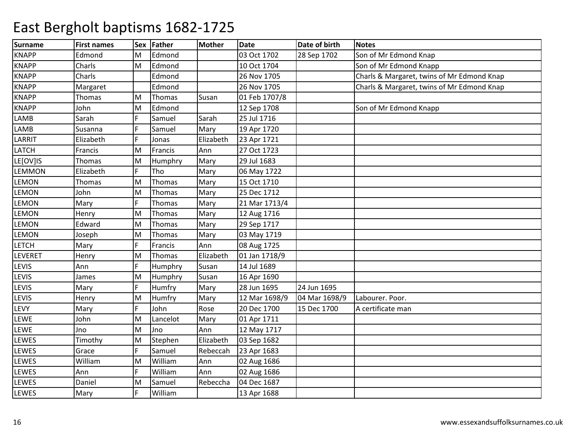| <b>Surname</b> | <b>First names</b> | <b>Sex</b> | Father   | Mother    | <b>Date</b>   | Date of birth | Notes                                      |
|----------------|--------------------|------------|----------|-----------|---------------|---------------|--------------------------------------------|
| <b>KNAPP</b>   | Edmond             | M          | Edmond   |           | 03 Oct 1702   | 28 Sep 1702   | Son of Mr Edmond Knap                      |
| <b>KNAPP</b>   | Charls             | lм         | Edmond   |           | 10 Oct 1704   |               | Son of Mr Edmond Knapp                     |
| <b>KNAPP</b>   | Charls             |            | Edmond   |           | 26 Nov 1705   |               | Charls & Margaret, twins of Mr Edmond Knap |
| <b>KNAPP</b>   | Margaret           |            | Edmond   |           | 26 Nov 1705   |               | Charls & Margaret, twins of Mr Edmond Knap |
| <b>KNAPP</b>   | Thomas             | M          | Thomas   | Susan     | 01 Feb 1707/8 |               |                                            |
| <b>KNAPP</b>   | John               | M          | Edmond   |           | 12 Sep 1708   |               | Son of Mr Edmond Knapp                     |
| LAMB           | Sarah              | F.         | Samuel   | Sarah     | 25 Jul 1716   |               |                                            |
| LAMB           | Susanna            | F.         | Samuel   | Mary      | 19 Apr 1720   |               |                                            |
| LARRIT         | Elizabeth          | F          | Jonas    | Elizabeth | 23 Apr 1721   |               |                                            |
| LATCH          | Francis            | M          | Francis  | Ann       | 27 Oct 1723   |               |                                            |
| LE[OV]IS       | Thomas             | M          | Humphry  | Mary      | 29 Jul 1683   |               |                                            |
| <b>LEMMON</b>  | Elizabeth          | F          | Tho      | Mary      | 06 May 1722   |               |                                            |
| LEMON          | Thomas             | M          | Thomas   | Mary      | 15 Oct 1710   |               |                                            |
| LEMON          | John               | M          | Thomas   | Mary      | 25 Dec 1712   |               |                                            |
| LEMON          | Mary               | F          | Thomas   | Mary      | 21 Mar 1713/4 |               |                                            |
| LEMON          | Henry              | M          | Thomas   | Mary      | 12 Aug 1716   |               |                                            |
| <b>LEMON</b>   | Edward             | M          | Thomas   | Mary      | 29 Sep 1717   |               |                                            |
| LEMON          | Joseph             | lм         | Thomas   | Mary      | 03 May 1719   |               |                                            |
| <b>LETCH</b>   | Mary               | F          | Francis  | Ann       | 08 Aug 1725   |               |                                            |
| LEVERET        | Henry              | lм         | Thomas   | Elizabeth | 01 Jan 1718/9 |               |                                            |
| <b>LEVIS</b>   | Ann                | F          | Humphry  | Susan     | 14 Jul 1689   |               |                                            |
| <b>LEVIS</b>   | James              | M          | Humphry  | Susan     | 16 Apr 1690   |               |                                            |
| LEVIS          | Mary               | F          | Humfry   | Mary      | 28 Jun 1695   | 24 Jun 1695   |                                            |
| LEVIS          | Henry              | M          | Humfry   | Mary      | 12 Mar 1698/9 | 04 Mar 1698/9 | Labourer. Poor.                            |
| LEVY           | Mary               | F          | John     | Rose      | 20 Dec 1700   | 15 Dec 1700   | A certificate man                          |
| LEWE           | John               | M          | Lancelot | Mary      | 01 Apr 1711   |               |                                            |
| LEWE           | Jno                | M          | Jno      | Ann       | 12 May 1717   |               |                                            |
| LEWES          | Timothy            | M          | Stephen  | Elizabeth | 03 Sep 1682   |               |                                            |
| LEWES          | Grace              | F          | Samuel   | Rebeccah  | 23 Apr 1683   |               |                                            |
| LEWES          | William            | M          | William  | Ann       | 02 Aug 1686   |               |                                            |
| LEWES          | Ann                | F          | William  | Ann       | 02 Aug 1686   |               |                                            |
| LEWES          | Daniel             | M          | Samuel   | Rebeccha  | 04 Dec 1687   |               |                                            |
| LEWES          | Mary               | F          | William  |           | 13 Apr 1688   |               |                                            |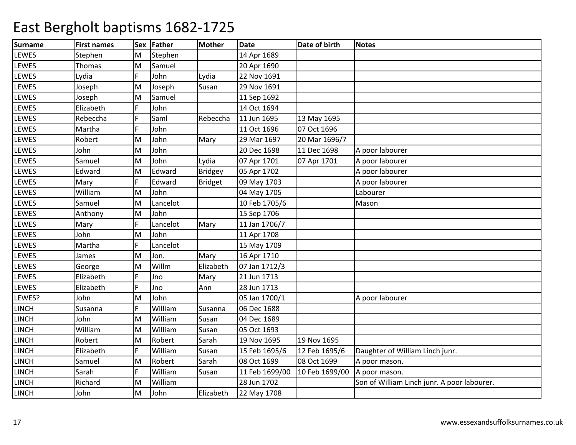| Surname      | <b>First names</b> |   | Sex Father | <b>Mother</b> | Date           | Date of birth  | <b>Notes</b>                                |
|--------------|--------------------|---|------------|---------------|----------------|----------------|---------------------------------------------|
| <b>LEWES</b> | Stephen            | M | Stephen    |               | 14 Apr 1689    |                |                                             |
| LEWES        | Thomas             | M | Samuel     |               | 20 Apr 1690    |                |                                             |
| <b>LEWES</b> | Lydia              | Ē | John       | Lydia         | 22 Nov 1691    |                |                                             |
| LEWES        | Joseph             | M | Joseph     | Susan         | 29 Nov 1691    |                |                                             |
| LEWES        | Joseph             | M | Samuel     |               | 11 Sep 1692    |                |                                             |
| LEWES        | Elizabeth          | F | John       |               | 14 Oct 1694    |                |                                             |
| LEWES        | Rebeccha           |   | Saml       | Rebeccha      | 11 Jun 1695    | 13 May 1695    |                                             |
| LEWES        | Martha             | E | John       |               | 11 Oct 1696    | 07 Oct 1696    |                                             |
| <b>LEWES</b> | Robert             | M | John       | Mary          | 29 Mar 1697    | 20 Mar 1696/7  |                                             |
| LEWES        | John               | M | John       |               | 20 Dec 1698    | 11 Dec 1698    | A poor labourer                             |
| LEWES        | Samuel             | M | John       | Lydia         | 07 Apr 1701    | 07 Apr 1701    | A poor labourer                             |
| <b>LEWES</b> | Edward             | M | Edward     | Bridgey       | 05 Apr 1702    |                | A poor labourer                             |
| LEWES        | Mary               | Ē | Edward     | Bridget       | 09 May 1703    |                | A poor labourer                             |
| LEWES        | William            | M | John       |               | 04 May 1705    |                | Labourer                                    |
| LEWES        | Samuel             | M | Lancelot   |               | 10 Feb 1705/6  |                | Mason                                       |
| LEWES        | Anthony            | M | John       |               | 15 Sep 1706    |                |                                             |
| LEWES        | Mary               | F | Lancelot   | Mary          | 11 Jan 1706/7  |                |                                             |
| LEWES        | John               | M | John       |               | 11 Apr 1708    |                |                                             |
| <b>LEWES</b> | Martha             |   | Lancelot   |               | 15 May 1709    |                |                                             |
| LEWES        | James              | M | Jon.       | Mary          | 16 Apr 1710    |                |                                             |
| LEWES        | George             | M | Willm      | Elizabeth     | 07 Jan 1712/3  |                |                                             |
| LEWES        | Elizabeth          | E | Jno        | Mary          | 21 Jun 1713    |                |                                             |
| LEWES        | Elizabeth          | E | Jno        | Ann           | 28 Jun 1713    |                |                                             |
| LEWES?       | John               | M | John       |               | 05 Jan 1700/1  |                | A poor labourer                             |
| <b>LINCH</b> | Susanna            |   | William    | Susanna       | 06 Dec 1688    |                |                                             |
| <b>LINCH</b> | John               | M | William    | Susan         | 04 Dec 1689    |                |                                             |
| <b>LINCH</b> | William            | M | William    | Susan         | 05 Oct 1693    |                |                                             |
| <b>LINCH</b> | Robert             | M | Robert     | Sarah         | 19 Nov 1695    | 19 Nov 1695    |                                             |
| <b>LINCH</b> | Elizabeth          | F | William    | Susan         | 15 Feb 1695/6  | 12 Feb 1695/6  | Daughter of William Linch junr.             |
| <b>LINCH</b> | Samuel             | M | Robert     | Sarah         | 08 Oct 1699    | 08 Oct 1699    | A poor mason.                               |
| <b>LINCH</b> | Sarah              | F | William    | Susan         | 11 Feb 1699/00 | 10 Feb 1699/00 | A poor mason.                               |
| <b>LINCH</b> | Richard            | M | William    |               | 28 Jun 1702    |                | Son of William Linch junr. A poor labourer. |
| <b>LINCH</b> | John               | M | John       | Elizabeth     | 22 May 1708    |                |                                             |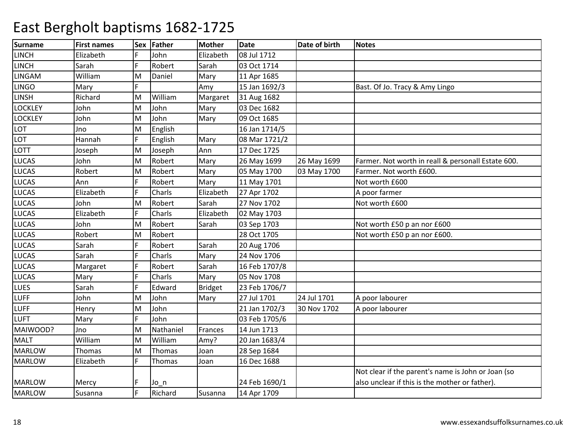| <b>Surname</b> | <b>First names</b> | Sex | Father    | <b>Mother</b>  | <b>Date</b>   | Date of birth | <b>Notes</b>                                       |
|----------------|--------------------|-----|-----------|----------------|---------------|---------------|----------------------------------------------------|
| <b>LINCH</b>   | Elizabeth          |     | John      | Elizabeth      | 08 Jul 1712   |               |                                                    |
| <b>LINCH</b>   | Sarah              | E   | Robert    | Sarah          | 03 Oct 1714   |               |                                                    |
| <b>LINGAM</b>  | William            | M   | Daniel    | Mary           | 11 Apr 1685   |               |                                                    |
| <b>LINGO</b>   | Mary               |     |           | Amy            | 15 Jan 1692/3 |               | Bast. Of Jo. Tracy & Amy Lingo                     |
| <b>LINSH</b>   | Richard            | M   | William   | Margaret       | 31 Aug 1682   |               |                                                    |
| <b>LOCKLEY</b> | John               | M   | John      | Mary           | 03 Dec 1682   |               |                                                    |
| <b>LOCKLEY</b> | John               | M   | John      | Mary           | 09 Oct 1685   |               |                                                    |
| LOT            | Jno                | M   | English   |                | 16 Jan 1714/5 |               |                                                    |
| LOT            | Hannah             | Ē   | English   | Mary           | 08 Mar 1721/2 |               |                                                    |
| LOTT           | Joseph             | M   | Joseph    | Ann            | 17 Dec 1725   |               |                                                    |
| <b>LUCAS</b>   | John               | M   | Robert    | Mary           | 26 May 1699   | 26 May 1699   | Farmer. Not worth in reall & personall Estate 600. |
| <b>LUCAS</b>   | Robert             | M   | Robert    | Mary           | 05 May 1700   | 03 May 1700   | Farmer. Not worth £600.                            |
| <b>LUCAS</b>   | Ann                | F   | Robert    | Mary           | 11 May 1701   |               | Not worth £600                                     |
| <b>LUCAS</b>   | Elizabeth          |     | Charls    | Elizabeth      | 27 Apr 1702   |               | A poor farmer                                      |
| <b>LUCAS</b>   | John               | M   | Robert    | Sarah          | 27 Nov 1702   |               | Not worth £600                                     |
| <b>LUCAS</b>   | Elizabeth          | F   | Charls    | Elizabeth      | 02 May 1703   |               |                                                    |
| <b>LUCAS</b>   | John               | M   | Robert    | Sarah          | 03 Sep 1703   |               | Not worth £50 p an nor £600                        |
| <b>LUCAS</b>   | Robert             | M   | Robert    |                | 28 Oct 1705   |               | Not worth £50 p an nor £600.                       |
| <b>LUCAS</b>   | Sarah              |     | Robert    | Sarah          | 20 Aug 1706   |               |                                                    |
| <b>LUCAS</b>   | Sarah              |     | Charls    | Mary           | 24 Nov 1706   |               |                                                    |
| <b>LUCAS</b>   | Margaret           | F   | Robert    | Sarah          | 16 Feb 1707/8 |               |                                                    |
| <b>LUCAS</b>   | Mary               |     | Charls    | Mary           | 05 Nov 1708   |               |                                                    |
| <b>LUES</b>    | Sarah              |     | Edward    | <b>Bridget</b> | 23 Feb 1706/7 |               |                                                    |
| <b>LUFF</b>    | John               | M   | John      | Mary           | 27 Jul 1701   | 24 Jul 1701   | A poor labourer                                    |
| <b>LUFF</b>    | Henry              | M   | John      |                | 21 Jan 1702/3 | 30 Nov 1702   | A poor labourer                                    |
| <b>LUFT</b>    | Mary               | F   | John      |                | 03 Feb 1705/6 |               |                                                    |
| MAIWOOD?       | Jno                | M   | Nathaniel | Frances        | 14 Jun 1713   |               |                                                    |
| <b>MALT</b>    | William            | M   | William   | Amy?           | 20 Jan 1683/4 |               |                                                    |
| <b>MARLOW</b>  | Thomas             | M   | Thomas    | Joan           | 28 Sep 1684   |               |                                                    |
| <b>MARLOW</b>  | Elizabeth          | F   | Thomas    | Joan           | 16 Dec 1688   |               |                                                    |
|                |                    |     |           |                |               |               | Not clear if the parent's name is John or Joan (so |
| <b>MARLOW</b>  | Mercy              |     | Jo n      |                | 24 Feb 1690/1 |               | also unclear if this is the mother or father).     |
| <b>MARLOW</b>  | Susanna            | F   | Richard   | Susanna        | 14 Apr 1709   |               |                                                    |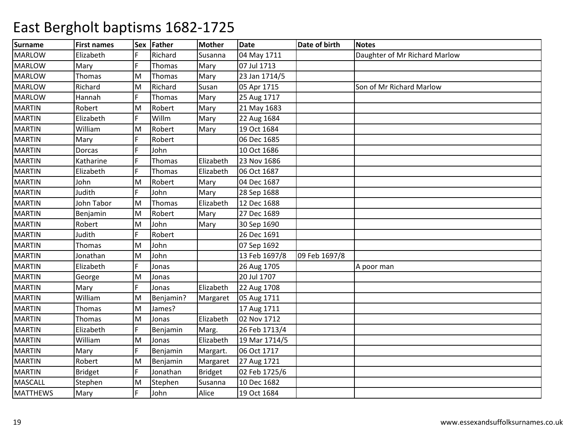| <b>Surname</b>  | <b>First names</b> |   | Sex Father | <b>Mother</b>  | <b>Date</b>   | Date of birth | <b>Notes</b>                  |
|-----------------|--------------------|---|------------|----------------|---------------|---------------|-------------------------------|
| <b>MARLOW</b>   | Elizabeth          |   | Richard    | Susanna        | 04 May 1711   |               | Daughter of Mr Richard Marlow |
| <b>MARLOW</b>   | Mary               |   | Thomas     | Mary           | 07 Jul 1713   |               |                               |
| <b>MARLOW</b>   | Thomas             | M | Thomas     | Mary           | 23 Jan 1714/5 |               |                               |
| <b>MARLOW</b>   | Richard            | M | Richard    | Susan          | 05 Apr 1715   |               | Son of Mr Richard Marlow      |
| <b>MARLOW</b>   | Hannah             |   | Thomas     | Mary           | 25 Aug 1717   |               |                               |
| <b>MARTIN</b>   | Robert             | M | Robert     | Mary           | 21 May 1683   |               |                               |
| <b>MARTIN</b>   | Elizabeth          | F | Willm      | Mary           | 22 Aug 1684   |               |                               |
| <b>MARTIN</b>   | William            | M | Robert     | Mary           | 19 Oct 1684   |               |                               |
| <b>MARTIN</b>   | Mary               |   | Robert     |                | 06 Dec 1685   |               |                               |
| <b>MARTIN</b>   | Dorcas             |   | John       |                | 10 Oct 1686   |               |                               |
| <b>MARTIN</b>   | Katharine          |   | Thomas     | Elizabeth      | 23 Nov 1686   |               |                               |
| <b>MARTIN</b>   | Elizabeth          |   | Thomas     | Elizabeth      | 06 Oct 1687   |               |                               |
| <b>MARTIN</b>   | John               | M | Robert     | Mary           | 04 Dec 1687   |               |                               |
| <b>MARTIN</b>   | Judith             |   | John       | Mary           | 28 Sep 1688   |               |                               |
| <b>MARTIN</b>   | John Tabor         | M | Thomas     | Elizabeth      | 12 Dec 1688   |               |                               |
| <b>MARTIN</b>   | Benjamin           | M | Robert     | Mary           | 27 Dec 1689   |               |                               |
| <b>MARTIN</b>   | Robert             | M | John       | Mary           | 30 Sep 1690   |               |                               |
| <b>MARTIN</b>   | Judith             | Ē | Robert     |                | 26 Dec 1691   |               |                               |
| <b>MARTIN</b>   | Thomas             | M | John       |                | 07 Sep 1692   |               |                               |
| <b>MARTIN</b>   | Jonathan           | M | John       |                | 13 Feb 1697/8 | 09 Feb 1697/8 |                               |
| <b>MARTIN</b>   | Elizabeth          |   | Jonas      |                | 26 Aug 1705   |               | A poor man                    |
| <b>MARTIN</b>   | George             | M | Jonas      |                | 20 Jul 1707   |               |                               |
| <b>MARTIN</b>   | Mary               | Ē | Jonas      | Elizabeth      | 22 Aug 1708   |               |                               |
| <b>MARTIN</b>   | William            | M | Benjamin?  | Margaret       | 05 Aug 1711   |               |                               |
| <b>MARTIN</b>   | Thomas             | M | James?     |                | 17 Aug 1711   |               |                               |
| <b>MARTIN</b>   | Thomas             | M | Jonas      | Elizabeth      | 02 Nov 1712   |               |                               |
| <b>MARTIN</b>   | Elizabeth          |   | Benjamin   | Marg.          | 26 Feb 1713/4 |               |                               |
| <b>MARTIN</b>   | William            | M | Jonas      | Elizabeth      | 19 Mar 1714/5 |               |                               |
| <b>MARTIN</b>   | Mary               | F | Benjamin   | Margart.       | 06 Oct 1717   |               |                               |
| <b>MARTIN</b>   | Robert             | M | Benjamin   | Margaret       | 27 Aug 1721   |               |                               |
| <b>MARTIN</b>   | <b>Bridget</b>     | F | Jonathan   | <b>Bridget</b> | 02 Feb 1725/6 |               |                               |
| <b>MASCALL</b>  | Stephen            | M | Stephen    | Susanna        | 10 Dec 1682   |               |                               |
| <b>MATTHEWS</b> | Mary               | Ë | John       | Alice          | 19 Oct 1684   |               |                               |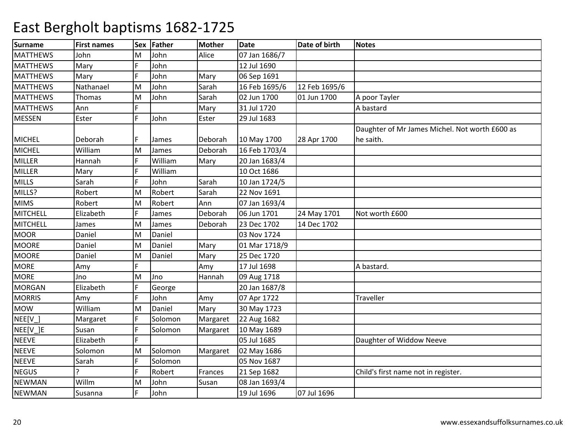| <b>Surname</b>  | <b>First names</b> | Sex | Father  | <b>Mother</b> | <b>Date</b>   | Date of birth | <b>Notes</b>                                   |
|-----------------|--------------------|-----|---------|---------------|---------------|---------------|------------------------------------------------|
| <b>MATTHEWS</b> | John               | м   | John    | Alice         | 07 Jan 1686/7 |               |                                                |
| <b>MATTHEWS</b> | Mary               | F   | John    |               | 12 Jul 1690   |               |                                                |
| <b>MATTHEWS</b> | Mary               | F   | John    | Mary          | 06 Sep 1691   |               |                                                |
| <b>MATTHEWS</b> | Nathanael          | M   | John    | Sarah         | 16 Feb 1695/6 | 12 Feb 1695/6 |                                                |
| <b>MATTHEWS</b> | <b>Thomas</b>      | Μ   | John    | Sarah         | 02 Jun 1700   | 01 Jun 1700   | A poor Tayler                                  |
| <b>MATTHEWS</b> | Ann                |     |         | Mary          | 31 Jul 1720   |               | A bastard                                      |
| MESSEN          | Ester              | F   | John    | Ester         | 29 Jul 1683   |               |                                                |
|                 |                    |     |         |               |               |               | Daughter of Mr James Michel. Not worth £600 as |
| <b>MICHEL</b>   | Deborah            |     | James   | Deborah       | 10 May 1700   | 28 Apr 1700   | he saith.                                      |
| <b>MICHEL</b>   | William            | M   | James   | Deborah       | 16 Feb 1703/4 |               |                                                |
| <b>MILLER</b>   | Hannah             | F   | William | Mary          | 20 Jan 1683/4 |               |                                                |
| <b>MILLER</b>   | Mary               |     | William |               | 10 Oct 1686   |               |                                                |
| <b>MILLS</b>    | Sarah              | F   | John    | Sarah         | 10 Jan 1724/5 |               |                                                |
| MILLS?          | Robert             | M   | Robert  | Sarah         | 22 Nov 1691   |               |                                                |
| <b>MIMS</b>     | Robert             | M   | Robert  | Ann           | 07 Jan 1693/4 |               |                                                |
| <b>MITCHELL</b> | Elizabeth          | F   | James   | Deborah       | 06 Jun 1701   | 24 May 1701   | Not worth £600                                 |
| <b>MITCHELL</b> | James              | M   | James   | Deborah       | 23 Dec 1702   | 14 Dec 1702   |                                                |
| <b>MOOR</b>     | Daniel             | M   | Daniel  |               | 03 Nov 1724   |               |                                                |
| <b>MOORE</b>    | Daniel             | Μ   | Daniel  | Mary          | 01 Mar 1718/9 |               |                                                |
| <b>MOORE</b>    | Daniel             | M   | Daniel  | Mary          | 25 Dec 1720   |               |                                                |
| <b>MORE</b>     | Amy                | F   |         | Amy           | 17 Jul 1698   |               | A bastard.                                     |
| <b>MORE</b>     | Jno                | M   | Jno     | Hannah        | 09 Aug 1718   |               |                                                |
| <b>MORGAN</b>   | Elizabeth          | F   | George  |               | 20 Jan 1687/8 |               |                                                |
| <b>MORRIS</b>   | Amy                | E   | John    | Amy           | 07 Apr 1722   |               | Traveller                                      |
| <b>MOW</b>      | William            | M   | Daniel  | Mary          | 30 May 1723   |               |                                                |
| $NEE[V_$ ]      | Margaret           |     | Solomon | Margaret      | 22 Aug 1682   |               |                                                |
| NEE[V_]E        | Susan              |     | Solomon | Margaret      | 10 May 1689   |               |                                                |
| <b>NEEVE</b>    | Elizabeth          |     |         |               | 05 Jul 1685   |               | Daughter of Widdow Neeve                       |
| <b>NEEVE</b>    | Solomon            | M   | Solomon | Margaret      | 02 May 1686   |               |                                                |
| <b>NEEVE</b>    | Sarah              |     | Solomon |               | 05 Nov 1687   |               |                                                |
| <b>NEGUS</b>    |                    |     | Robert  | Frances       | 21 Sep 1682   |               | Child's first name not in register.            |
| <b>NEWMAN</b>   | Willm              | M   | John    | Susan         | 08 Jan 1693/4 |               |                                                |
| <b>NEWMAN</b>   | Susanna            | Ē   | John    |               | 19 Jul 1696   | 07 Jul 1696   |                                                |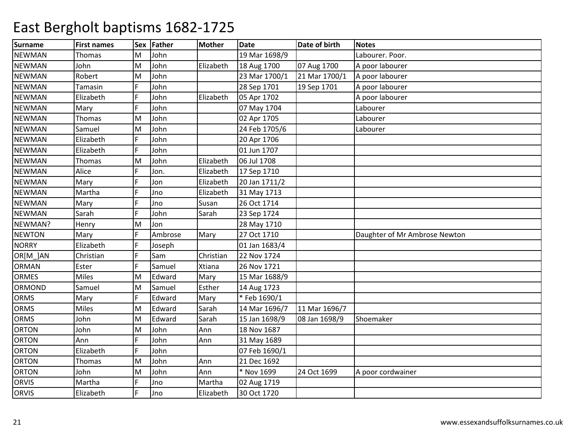| <b>Surname</b> | <b>First names</b> | <b>Sex</b> | Father  | <b>Mother</b> | <b>Date</b>   | Date of birth | <b>Notes</b>                  |
|----------------|--------------------|------------|---------|---------------|---------------|---------------|-------------------------------|
| <b>NEWMAN</b>  | <b>Thomas</b>      | M          | John    |               | 19 Mar 1698/9 |               | Labourer. Poor.               |
| <b>NEWMAN</b>  | John               | lм         | John    | Elizabeth     | 18 Aug 1700   | 07 Aug 1700   | A poor labourer               |
| <b>NEWMAN</b>  | Robert             | lм         | John    |               | 23 Mar 1700/1 | 21 Mar 1700/1 | A poor labourer               |
| <b>NEWMAN</b>  | Tamasin            | F          | John    |               | 28 Sep 1701   | 19 Sep 1701   | A poor labourer               |
| <b>NEWMAN</b>  | Elizabeth          |            | John    | Elizabeth     | 05 Apr 1702   |               | A poor labourer               |
| <b>NEWMAN</b>  | Mary               | F          | John    |               | 07 May 1704   |               | Labourer                      |
| <b>NEWMAN</b>  | Thomas             | M          | John    |               | 02 Apr 1705   |               | Labourer                      |
| <b>NEWMAN</b>  | Samuel             | lм         | John    |               | 24 Feb 1705/6 |               | Labourer                      |
| <b>NEWMAN</b>  | Elizabeth          | F          | John    |               | 20 Apr 1706   |               |                               |
| <b>NEWMAN</b>  | Elizabeth          |            | John    |               | 01 Jun 1707   |               |                               |
| <b>NEWMAN</b>  | <b>Thomas</b>      | M          | John    | Elizabeth     | 06 Jul 1708   |               |                               |
| <b>NEWMAN</b>  | Alice              | F          | Jon.    | Elizabeth     | 17 Sep 1710   |               |                               |
| <b>NEWMAN</b>  | Mary               | F          | Jon     | Elizabeth     | 20 Jan 1711/2 |               |                               |
| <b>NEWMAN</b>  | Martha             |            | Jno     | Elizabeth     | 31 May 1713   |               |                               |
| <b>NEWMAN</b>  | Mary               |            | Jno     | Susan         | 26 Oct 1714   |               |                               |
| <b>NEWMAN</b>  | Sarah              |            | John    | Sarah         | 23 Sep 1724   |               |                               |
| NEWMAN?        | Henry              | M          | Jon     |               | 28 May 1710   |               |                               |
| <b>NEWTON</b>  | Mary               | F          | Ambrose | Mary          | 27 Oct 1710   |               | Daughter of Mr Ambrose Newton |
| <b>NORRY</b>   | Elizabeth          | F          | Joseph  |               | 01 Jan 1683/4 |               |                               |
| OR[M_]AN       | Christian          | F          | Sam     | Christian     | 22 Nov 1724   |               |                               |
| <b>ORMAN</b>   | Ester              |            | Samuel  | Xtiana        | 26 Nov 1721   |               |                               |
| <b>ORMES</b>   | <b>Miles</b>       | M          | Edward  | Mary          | 15 Mar 1688/9 |               |                               |
| ORMOND         | Samuel             | lм         | Samuel  | Esther        | 14 Aug 1723   |               |                               |
| <b>ORMS</b>    | Mary               | F          | Edward  | Mary          | *Feb 1690/1   |               |                               |
| <b>ORMS</b>    | Miles              | M          | Edward  | Sarah         | 14 Mar 1696/7 | 11 Mar 1696/7 |                               |
| <b>ORMS</b>    | John               | M          | Edward  | Sarah         | 15 Jan 1698/9 | 08 Jan 1698/9 | Shoemaker                     |
| <b>ORTON</b>   | John               | M          | John    | Ann           | 18 Nov 1687   |               |                               |
| <b>ORTON</b>   | Ann                | F          | John    | Ann           | 31 May 1689   |               |                               |
| <b>ORTON</b>   | Elizabeth          | F          | John    |               | 07 Feb 1690/1 |               |                               |
| <b>ORTON</b>   | Thomas             | M          | John    | Ann           | 21 Dec 1692   |               |                               |
| <b>ORTON</b>   | John               | lм         | John    | Ann           | * Nov 1699    | 24 Oct 1699   | A poor cordwainer             |
| <b>ORVIS</b>   | Martha             | F          | Jno     | Martha        | 02 Aug 1719   |               |                               |
| ORVIS          | Elizabeth          | F          | Jno     | Elizabeth     | 30 Oct 1720   |               |                               |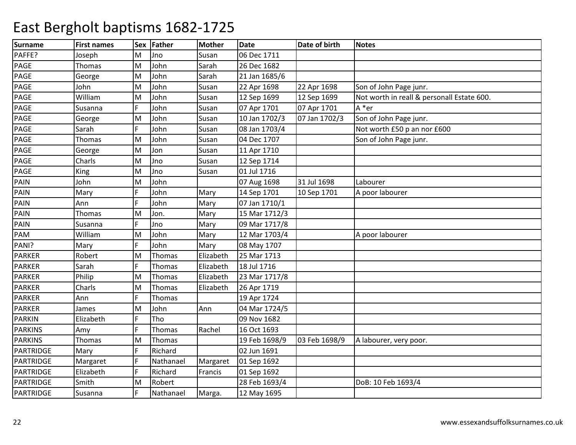| <b>Surname</b>   | <b>First names</b> | <b>Sex</b> | Father    | <b>Mother</b> | <b>Date</b>   | Date of birth | <b>Notes</b>                               |
|------------------|--------------------|------------|-----------|---------------|---------------|---------------|--------------------------------------------|
| PAFFE?           | Joseph             | M          | Jno       | Susan         | 06 Dec 1711   |               |                                            |
| PAGE             | Thomas             | lм         | John      | Sarah         | 26 Dec 1682   |               |                                            |
| PAGE             | George             | M          | John      | Sarah         | 21 Jan 1685/6 |               |                                            |
| PAGE             | John               | M          | John      | Susan         | 22 Apr 1698   | 22 Apr 1698   | Son of John Page junr.                     |
| PAGE             | William            | M          | John      | Susan         | 12 Sep 1699   | 12 Sep 1699   | Not worth in reall & personall Estate 600. |
| PAGE             | Susanna            | F.         | John      | Susan         | 07 Apr 1701   | 07 Apr 1701   | A *er                                      |
| PAGE             | George             | M          | John      | Susan         | 10 Jan 1702/3 | 07 Jan 1702/3 | Son of John Page junr.                     |
| PAGE             | Sarah              | F          | John      | Susan         | 08 Jan 1703/4 |               | Not worth £50 p an nor £600                |
| PAGE             | Thomas             | M          | John      | Susan         | 04 Dec 1707   |               | Son of John Page junr.                     |
| PAGE             | George             | M          | Jon       | Susan         | 11 Apr 1710   |               |                                            |
| PAGE             | Charls             | M          | Jno       | Susan         | 12 Sep 1714   |               |                                            |
| PAGE             | King               | M          | Jno       | Susan         | 01 Jul 1716   |               |                                            |
| PAIN             | John               | M          | John      |               | 07 Aug 1698   | 31 Jul 1698   | Labourer                                   |
| PAIN             | Mary               | F          | John      | Mary          | 14 Sep 1701   | 10 Sep 1701   | A poor labourer                            |
| PAIN             | Ann                | F.         | John      | Mary          | 07 Jan 1710/1 |               |                                            |
| PAIN             | Thomas             | M          | Jon.      | Mary          | 15 Mar 1712/3 |               |                                            |
| PAIN             | Susanna            | F          | Jno       | Mary          | 09 Mar 1717/8 |               |                                            |
| PAM              | William            | M          | John      | Mary          | 12 Mar 1703/4 |               | A poor labourer                            |
| PANI?            | Mary               | F.         | John      | Mary          | 08 May 1707   |               |                                            |
| <b>PARKER</b>    | Robert             | M          | Thomas    | Elizabeth     | 25 Mar 1713   |               |                                            |
| <b>PARKER</b>    | Sarah              | F          | Thomas    | Elizabeth     | 18 Jul 1716   |               |                                            |
| <b>PARKER</b>    | Philip             | M          | Thomas    | Elizabeth     | 23 Mar 1717/8 |               |                                            |
| <b>PARKER</b>    | Charls             | M          | Thomas    | Elizabeth     | 26 Apr 1719   |               |                                            |
| <b>PARKER</b>    | Ann                | F.         | Thomas    |               | 19 Apr 1724   |               |                                            |
| <b>PARKER</b>    | James              | M          | John      | Ann           | 04 Mar 1724/5 |               |                                            |
| <b>PARKIN</b>    | Elizabeth          | F          | Tho       |               | 09 Nov 1682   |               |                                            |
| <b>PARKINS</b>   | Amy                |            | Thomas    | Rachel        | 16 Oct 1693   |               |                                            |
| <b>PARKINS</b>   | Thomas             | M          | Thomas    |               | 19 Feb 1698/9 | 03 Feb 1698/9 | A labourer, very poor.                     |
| <b>PARTRIDGE</b> | Mary               | F          | Richard   |               | 02 Jun 1691   |               |                                            |
| PARTRIDGE        | Margaret           | F          | Nathanael | Margaret      | 01 Sep 1692   |               |                                            |
| <b>PARTRIDGE</b> | Elizabeth          |            | Richard   | Francis       | 01 Sep 1692   |               |                                            |
| <b>PARTRIDGE</b> | Smith              | M          | Robert    |               | 28 Feb 1693/4 |               | DoB: 10 Feb 1693/4                         |
| PARTRIDGE        | Susanna            | F          | Nathanael | Marga.        | 12 May 1695   |               |                                            |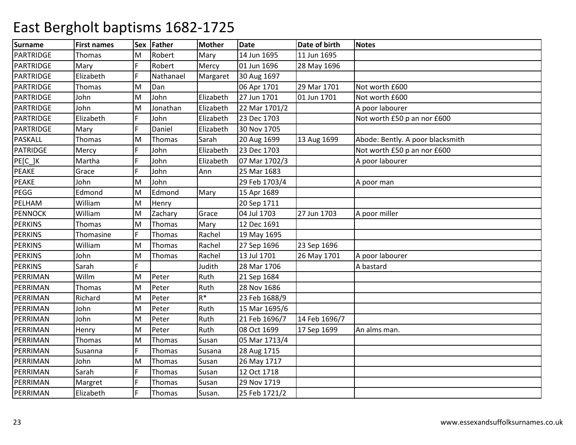| Surname          | <b>First names</b> | <b>Sex</b> | Father    | <b>Mother</b> | <b>Date</b>   | Date of birth | <b>Notes</b>                     |
|------------------|--------------------|------------|-----------|---------------|---------------|---------------|----------------------------------|
| <b>PARTRIDGE</b> | Thomas             | M          | Robert    | Mary          | 14 Jun 1695   | 11 Jun 1695   |                                  |
| <b>PARTRIDGE</b> | Mary               | F          | Robert    | Mercy         | 01 Jun 1696   | 28 May 1696   |                                  |
| PARTRIDGE        | Elizabeth          | F          | Nathanael | Margaret      | 30 Aug 1697   |               |                                  |
| PARTRIDGE        | <b>Thomas</b>      | M          | Dan       |               | 06 Apr 1701   | 29 Mar 1701   | Not worth £600                   |
| PARTRIDGE        | John               | M          | John      | Elizabeth     | 27 Jun 1701   | 01 Jun 1701   | Not worth £600                   |
| <b>PARTRIDGE</b> | John               | M          | Jonathan  | Elizabeth     | 22 Mar 1701/2 |               | A poor labourer                  |
| <b>PARTRIDGE</b> | Elizabeth          | F          | John      | Elizabeth     | 23 Dec 1703   |               | Not worth £50 p an nor £600      |
| PARTRIDGE        | Mary               | F          | Daniel    | Elizabeth     | 30 Nov 1705   |               |                                  |
| <b>PASKALL</b>   | <b>Thomas</b>      | M          | Thomas    | Sarah         | 20 Aug 1699   | 13 Aug 1699   | Abode: Bently. A poor blacksmith |
| <b>PATRIDGE</b>  | Mercy              | F          | John      | Elizabeth     | 23 Dec 1703   |               | Not worth £50 p an nor £600      |
| PE[C_]K          | Martha             | F          | John      | Elizabeth     | 07 Mar 1702/3 |               | A poor labourer                  |
| PEAKE            | Grace              | F          | John      | Ann           | 25 Mar 1683   |               |                                  |
| PEAKE            | John               | M          | John      |               | 29 Feb 1703/4 |               | A poor man                       |
| PEGG             | Edmond             | M          | Edmond    | Mary          | 15 Apr 1689   |               |                                  |
| PELHAM           | William            | lм         | Henry     |               | 20 Sep 1711   |               |                                  |
| <b>PENNOCK</b>   | William            | lм         | Zachary   | Grace         | 04 Jul 1703   | 27 Jun 1703   | A poor miller                    |
| <b>PERKINS</b>   | Thomas             | M          | Thomas    | Mary          | 12 Dec 1691   |               |                                  |
| <b>PERKINS</b>   | Thomasine          | F          | Thomas    | Rachel        | 19 May 1695   |               |                                  |
| <b>PERKINS</b>   | William            | M          | Thomas    | Rachel        | 27 Sep 1696   | 23 Sep 1696   |                                  |
| <b>PERKINS</b>   | John               | M          | Thomas    | Rachel        | 13 Jul 1701   | 26 May 1701   | A poor labourer                  |
| <b>PERKINS</b>   | Sarah              | F          |           | Judith        | 28 Mar 1706   |               | A bastard                        |
| PERRIMAN         | Willm              | M          | Peter     | Ruth          | 21 Sep 1684   |               |                                  |
| PERRIMAN         | <b>Thomas</b>      | lм         | Peter     | Ruth          | 28 Nov 1686   |               |                                  |
| PERRIMAN         | Richard            | M          | Peter     | $R^*$         | 23 Feb 1688/9 |               |                                  |
| PERRIMAN         | John               | M          | Peter     | Ruth          | 15 Mar 1695/6 |               |                                  |
| PERRIMAN         | John               | M          | Peter     | Ruth          | 21 Feb 1696/7 | 14 Feb 1696/7 |                                  |
| PERRIMAN         | Henry              | M          | Peter     | Ruth          | 08 Oct 1699   | 17 Sep 1699   | An alms man.                     |
| PERRIMAN         | <b>Thomas</b>      | lм         | Thomas    | Susan         | 05 Mar 1713/4 |               |                                  |
| PERRIMAN         | Susanna            | F          | Thomas    | Susana        | 28 Aug 1715   |               |                                  |
| PERRIMAN         | John               | M          | Thomas    | Susan         | 26 May 1717   |               |                                  |
| PERRIMAN         | Sarah              | F          | Thomas    | Susan         | 12 Oct 1718   |               |                                  |
| PERRIMAN         | Margret            | F          | Thomas    | Susan         | 29 Nov 1719   |               |                                  |
| PERRIMAN         | Elizabeth          | F          | Thomas    | Susan.        | 25 Feb 1721/2 |               |                                  |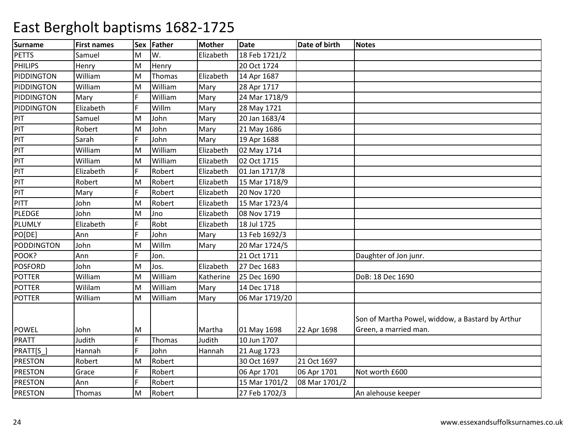| <b>Surname</b>    | <b>First names</b> | Sex | Father  | <b>Mother</b> | <b>Date</b>    | Date of birth | <b>Notes</b>                                                              |
|-------------------|--------------------|-----|---------|---------------|----------------|---------------|---------------------------------------------------------------------------|
| <b>PETTS</b>      | Samuel             | М   | lw.     | Elizabeth     | 18 Feb 1721/2  |               |                                                                           |
| PHILIPS           | Henry              | M   | Henry   |               | 20 Oct 1724    |               |                                                                           |
| PIDDINGTON        | William            | M   | Thomas  | Elizabeth     | 14 Apr 1687    |               |                                                                           |
| PIDDINGTON        | William            | M   | William | Mary          | 28 Apr 1717    |               |                                                                           |
| PIDDINGTON        | Mary               | F   | William | Mary          | 24 Mar 1718/9  |               |                                                                           |
| PIDDINGTON        | Elizabeth          | F   | Willm   | Mary          | 28 May 1721    |               |                                                                           |
| PIT               | Samuel             | M   | John    | Mary          | 20 Jan 1683/4  |               |                                                                           |
| PIT               | Robert             | M   | John    | Mary          | 21 May 1686    |               |                                                                           |
| PIT               | Sarah              | F   | John    | Mary          | 19 Apr 1688    |               |                                                                           |
| PIT               | William            | M   | William | Elizabeth     | 02 May 1714    |               |                                                                           |
| PIT               | William            | M   | William | Elizabeth     | 02 Oct 1715    |               |                                                                           |
| PIT               | Elizabeth          | F   | Robert  | Elizabeth     | 01 Jan 1717/8  |               |                                                                           |
| PIT               | Robert             | M   | Robert  | Elizabeth     | 15 Mar 1718/9  |               |                                                                           |
| PIT               | Mary               | F   | Robert  | Elizabeth     | 20 Nov 1720    |               |                                                                           |
| <b>PITT</b>       | John               | M   | Robert  | Elizabeth     | 15 Mar 1723/4  |               |                                                                           |
| <b>PLEDGE</b>     | John               | M   | Jno     | Elizabeth     | 08 Nov 1719    |               |                                                                           |
| PLUMLY            | Elizabeth          | F   | Robt    | Elizabeth     | 18 Jul 1725    |               |                                                                           |
| PO[DE]            | Ann                | F   | John    | Mary          | 13 Feb 1692/3  |               |                                                                           |
| <b>PODDINGTON</b> | John               | M   | Willm   | Mary          | 20 Mar 1724/5  |               |                                                                           |
| POOK?             | Ann                | F   | Jon.    |               | 21 Oct 1711    |               | Daughter of Jon junr.                                                     |
| <b>POSFORD</b>    | John               | M   | Jos.    | Elizabeth     | 27 Dec 1683    |               |                                                                           |
| <b>POTTER</b>     | William            | M   | William | Katherine     | 25 Dec 1690    |               | DoB: 18 Dec 1690                                                          |
| <b>POTTER</b>     | Wililam            | M   | William | Mary          | 14 Dec 1718    |               |                                                                           |
| <b>POTTER</b>     | William            | M   | William | Mary          | 06 Mar 1719/20 |               |                                                                           |
| <b>POWEL</b>      | John               | М   |         | Martha        | 01 May 1698    | 22 Apr 1698   | Son of Martha Powel, widdow, a Bastard by Arthur<br>Green, a married man. |
| <b>PRATT</b>      | Judith             | F   | Thomas  | Judith        | 10 Jun 1707    |               |                                                                           |
| PRATT[S_]         | Hannah             | F   | John    | Hannah        | 21 Aug 1723    |               |                                                                           |
| <b>PRESTON</b>    | Robert             | M   | Robert  |               | 30 Oct 1697    | 21 Oct 1697   |                                                                           |
| <b>PRESTON</b>    | Grace              | F   | Robert  |               | 06 Apr 1701    | 06 Apr 1701   | Not worth £600                                                            |
| <b>PRESTON</b>    | Ann                | F   | Robert  |               | 15 Mar 1701/2  | 08 Mar 1701/2 |                                                                           |
| PRESTON           | Thomas             | M   | Robert  |               | 27 Feb 1702/3  |               | An alehouse keeper                                                        |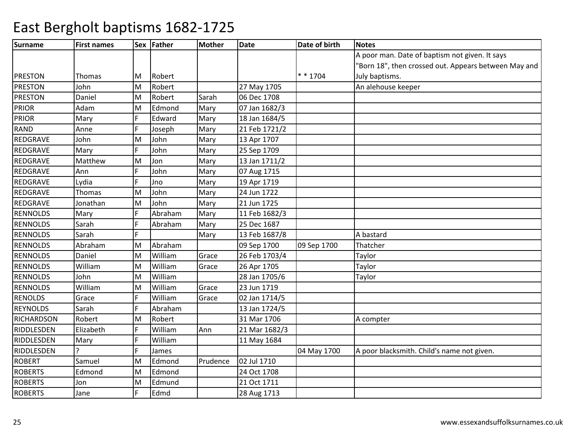| <b>Surname</b>    | <b>First names</b> |   | Sex Father | <b>Mother</b> | <b>Date</b>   | Date of birth | Notes                                                |
|-------------------|--------------------|---|------------|---------------|---------------|---------------|------------------------------------------------------|
|                   |                    |   |            |               |               |               | A poor man. Date of baptism not given. It says       |
|                   |                    |   |            |               |               |               | 'Born 18", then crossed out. Appears between May and |
| <b>PRESTON</b>    | Thomas             | M | Robert     |               |               | * * 1704      | July baptisms.                                       |
| <b>PRESTON</b>    | John               | M | Robert     |               | 27 May 1705   |               | An alehouse keeper                                   |
| <b>PRESTON</b>    | Daniel             | M | Robert     | Sarah         | 06 Dec 1708   |               |                                                      |
| <b>PRIOR</b>      | Adam               | M | Edmond     | Mary          | 07 Jan 1682/3 |               |                                                      |
| <b>PRIOR</b>      | Mary               | F | Edward     | Mary          | 18 Jan 1684/5 |               |                                                      |
| <b>RAND</b>       | Anne               | E | Joseph     | Mary          | 21 Feb 1721/2 |               |                                                      |
| REDGRAVE          | John               | M | John       | Mary          | 13 Apr 1707   |               |                                                      |
| <b>REDGRAVE</b>   | Mary               | F | John       | Mary          | 25 Sep 1709   |               |                                                      |
| REDGRAVE          | Matthew            | M | Jon        | Mary          | 13 Jan 1711/2 |               |                                                      |
| REDGRAVE          | Ann                | F | John       | Mary          | 07 Aug 1715   |               |                                                      |
| <b>REDGRAVE</b>   | Lydia              | F | Jno        | Mary          | 19 Apr 1719   |               |                                                      |
| REDGRAVE          | Thomas             | M | John       | Mary          | 24 Jun 1722   |               |                                                      |
| REDGRAVE          | Jonathan           | M | John       | Mary          | 21 Jun 1725   |               |                                                      |
| <b>RENNOLDS</b>   | Mary               | F | Abraham    | Mary          | 11 Feb 1682/3 |               |                                                      |
| <b>RENNOLDS</b>   | Sarah              | F | Abraham    | Mary          | 25 Dec 1687   |               |                                                      |
| <b>RENNOLDS</b>   | Sarah              | E |            | Mary          | 13 Feb 1687/8 |               | A bastard                                            |
| <b>RENNOLDS</b>   | Abraham            | M | Abraham    |               | 09 Sep 1700   | 09 Sep 1700   | Thatcher                                             |
| <b>RENNOLDS</b>   | Daniel             | M | William    | Grace         | 26 Feb 1703/4 |               | Taylor                                               |
| <b>RENNOLDS</b>   | William            | M | William    | Grace         | 26 Apr 1705   |               | Taylor                                               |
| <b>RENNOLDS</b>   | John               | M | William    |               | 28 Jan 1705/6 |               | Taylor                                               |
| <b>RENNOLDS</b>   | William            | M | William    | Grace         | 23 Jun 1719   |               |                                                      |
| <b>RENOLDS</b>    | Grace              | F | William    | Grace         | 02 Jan 1714/5 |               |                                                      |
| <b>REYNOLDS</b>   | Sarah              | F | Abraham    |               | 13 Jan 1724/5 |               |                                                      |
| <b>RICHARDSON</b> | Robert             | M | Robert     |               | 31 Mar 1706   |               | A compter                                            |
| RIDDLESDEN        | Elizabeth          | F | William    | Ann           | 21 Mar 1682/3 |               |                                                      |
| RIDDLESDEN        | Mary               | E | William    |               | 11 May 1684   |               |                                                      |
| RIDDLESDEN        |                    | F | James      |               |               | 04 May 1700   | A poor blacksmith. Child's name not given.           |
| <b>ROBERT</b>     | Samuel             | M | Edmond     | Prudence      | 02 Jul 1710   |               |                                                      |
| <b>ROBERTS</b>    | Edmond             | M | Edmond     |               | 24 Oct 1708   |               |                                                      |
| <b>ROBERTS</b>    | Jon                | M | Edmund     |               | 21 Oct 1711   |               |                                                      |
| <b>ROBERTS</b>    | Jane               | F | Edmd       |               | 28 Aug 1713   |               |                                                      |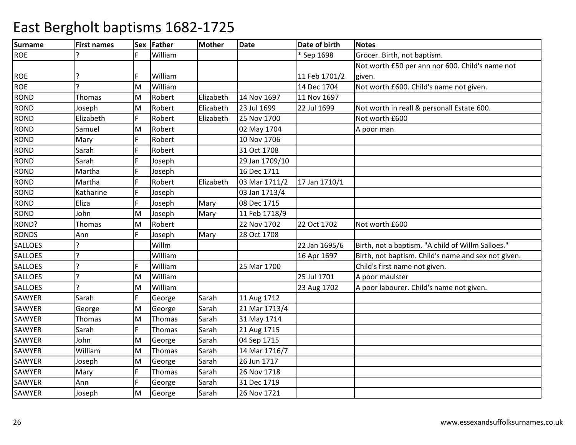| <b>Surname</b> | <b>First names</b> | lSex | Father  | <b>Mother</b> | <b>Date</b>    | Date of birth | Notes                                               |
|----------------|--------------------|------|---------|---------------|----------------|---------------|-----------------------------------------------------|
| <b>ROE</b>     | 7                  |      | William |               |                | * Sep 1698    | Grocer. Birth, not baptism.                         |
|                |                    |      |         |               |                |               | Not worth £50 per ann nor 600. Child's name not     |
| <b>ROE</b>     |                    |      | William |               |                | 11 Feb 1701/2 | given.                                              |
| <b>ROE</b>     | ς                  | M    | William |               |                | 14 Dec 1704   | Not worth £600. Child's name not given.             |
| <b>ROND</b>    | Thomas             | M    | Robert  | Elizabeth     | 14 Nov 1697    | 11 Nov 1697   |                                                     |
| <b>ROND</b>    | Joseph             | M    | Robert  | Elizabeth     | 23 Jul 1699    | 22 Jul 1699   | Not worth in reall & personall Estate 600.          |
| <b>ROND</b>    | Elizabeth          | F    | Robert  | Elizabeth     | 25 Nov 1700    |               | Not worth £600                                      |
| <b>ROND</b>    | Samuel             | M    | Robert  |               | 02 May 1704    |               | A poor man                                          |
| <b>ROND</b>    | Mary               | F    | Robert  |               | 10 Nov 1706    |               |                                                     |
| <b>ROND</b>    | Sarah              | E    | Robert  |               | 31 Oct 1708    |               |                                                     |
| <b>ROND</b>    | Sarah              | F    | Joseph  |               | 29 Jan 1709/10 |               |                                                     |
| <b>ROND</b>    | Martha             | Е    | Joseph  |               | 16 Dec 1711    |               |                                                     |
| <b>ROND</b>    | Martha             | F    | Robert  | Elizabeth     | 03 Mar 1711/2  | 17 Jan 1710/1 |                                                     |
| <b>ROND</b>    | Katharine          | F    | Joseph  |               | 03 Jan 1713/4  |               |                                                     |
| <b>ROND</b>    | Eliza              |      | Joseph  | Mary          | 08 Dec 1715    |               |                                                     |
| <b>ROND</b>    | John               | M    | Joseph  | Mary          | 11 Feb 1718/9  |               |                                                     |
| ROND?          | Thomas             | M    | Robert  |               | 22 Nov 1702    | 22 Oct 1702   | Not worth £600                                      |
| <b>RONDS</b>   | Ann                | F.   | Joseph  | Mary          | 28 Oct 1708    |               |                                                     |
| <b>SALLOES</b> | ς                  |      | Willm   |               |                | 22 Jan 1695/6 | Birth, not a baptism. "A child of Willm Salloes."   |
| SALLOES        | <sub>?</sub>       |      | William |               |                | 16 Apr 1697   | Birth, not baptism. Child's name and sex not given. |
| <b>SALLOES</b> | ?                  |      | William |               | 25 Mar 1700    |               | Child's first name not given.                       |
| <b>SALLOES</b> | 2                  | M    | William |               |                | 25 Jul 1701   | A poor maulster                                     |
| SALLOES        | $\mathbf{c}$       | M    | William |               |                | 23 Aug 1702   | A poor labourer. Child's name not given.            |
| SAWYER         | Sarah              | F    | George  | Sarah         | 11 Aug 1712    |               |                                                     |
| SAWYER         | George             | M    | George  | Sarah         | 21 Mar 1713/4  |               |                                                     |
| SAWYER         | Thomas             | M    | Thomas  | Sarah         | 31 May 1714    |               |                                                     |
| SAWYER         | Sarah              | F    | Thomas  | Sarah         | 21 Aug 1715    |               |                                                     |
| SAWYER         | John               | M    | George  | Sarah         | 04 Sep 1715    |               |                                                     |
| SAWYER         | William            | lм   | Thomas  | Sarah         | 14 Mar 1716/7  |               |                                                     |
| SAWYER         | Joseph             | M    | George  | Sarah         | 26 Jun 1717    |               |                                                     |
| SAWYER         | Mary               | F    | Thomas  | Sarah         | 26 Nov 1718    |               |                                                     |
| SAWYER         | Ann                | F    | George  | Sarah         | 31 Dec 1719    |               |                                                     |
| <b>SAWYER</b>  | Joseph             | lм   | George  | Sarah         | 26 Nov 1721    |               |                                                     |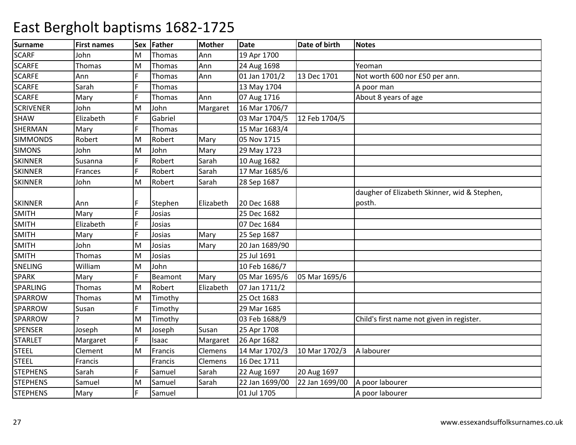| <b>Surname</b>   | <b>First names</b> | <b>Sex</b> | Father  | <b>Mother</b> | <b>Date</b>    | Date of birth  | <b>Notes</b>                                           |
|------------------|--------------------|------------|---------|---------------|----------------|----------------|--------------------------------------------------------|
| <b>SCARF</b>     | John               | м          | Thomas  | Ann           | 19 Apr 1700    |                |                                                        |
| <b>SCARFE</b>    | Thomas             | M          | Thomas  | Ann           | 24 Aug 1698    |                | Yeoman                                                 |
| <b>SCARFE</b>    | Ann                | Ē          | Thomas  | Ann           | 01 Jan 1701/2  | 13 Dec 1701    | Not worth 600 nor £50 per ann.                         |
| <b>SCARFE</b>    | Sarah              |            | Thomas  |               | 13 May 1704    |                | A poor man                                             |
| <b>SCARFE</b>    | Mary               |            | Thomas  | Ann           | 07 Aug 1716    |                | About 8 years of age                                   |
| <b>SCRIVENER</b> | John               | M          | John    | Margaret      | 16 Mar 1706/7  |                |                                                        |
| <b>SHAW</b>      | Elizabeth          | F          | Gabriel |               | 03 Mar 1704/5  | 12 Feb 1704/5  |                                                        |
| <b>SHERMAN</b>   | Mary               | Ë          | Thomas  |               | 15 Mar 1683/4  |                |                                                        |
| <b>SIMMONDS</b>  | Robert             | M          | Robert  | Mary          | 05 Nov 1715    |                |                                                        |
| <b>SIMONS</b>    | John               | M          | John    | Mary          | 29 May 1723    |                |                                                        |
| <b>SKINNER</b>   | Susanna            |            | Robert  | Sarah         | 10 Aug 1682    |                |                                                        |
| <b>SKINNER</b>   | Frances            | F          | Robert  | Sarah         | 17 Mar 1685/6  |                |                                                        |
| <b>SKINNER</b>   | John               | M          | Robert  | Sarah         | 28 Sep 1687    |                |                                                        |
| <b>SKINNER</b>   | Ann                |            | Stephen | Elizabeth     | 20 Dec 1688    |                | daugher of Elizabeth Skinner, wid & Stephen,<br>posth. |
| <b>SMITH</b>     | Mary               | F          | Josias  |               | 25 Dec 1682    |                |                                                        |
| <b>SMITH</b>     | Elizabeth          |            | Josias  |               | 07 Dec 1684    |                |                                                        |
| <b>SMITH</b>     | Mary               | E          | Josias  | Mary          | 25 Sep 1687    |                |                                                        |
| <b>SMITH</b>     | John               | M          | Josias  | Mary          | 20 Jan 1689/90 |                |                                                        |
| <b>SMITH</b>     | Thomas             | M          | Josias  |               | 25 Jul 1691    |                |                                                        |
| SNELING          | William            | M          | John    |               | 10 Feb 1686/7  |                |                                                        |
| <b>SPARK</b>     | Mary               |            | Beamont | Mary          | 05 Mar 1695/6  | 05 Mar 1695/6  |                                                        |
| SPARLING         | Thomas             | M          | Robert  | Elizabeth     | 07 Jan 1711/2  |                |                                                        |
| SPARROW          | Thomas             | M          | Timothy |               | 25 Oct 1683    |                |                                                        |
| SPARROW          | Susan              | F          | Timothy |               | 29 Mar 1685    |                |                                                        |
| SPARROW          |                    | M          | Timothy |               | 03 Feb 1688/9  |                | Child's first name not given in register.              |
| SPENSER          | Joseph             | M          | Joseph  | Susan         | 25 Apr 1708    |                |                                                        |
| <b>STARLET</b>   | Margaret           | Ë          | Isaac   | Margaret      | 26 Apr 1682    |                |                                                        |
| <b>STEEL</b>     | Clement            | M          | Francis | Clemens       | 14 Mar 1702/3  | 10 Mar 1702/3  | A labourer                                             |
| <b>STEEL</b>     | Francis            |            | Francis | Clemens       | 16 Dec 1711    |                |                                                        |
| <b>STEPHENS</b>  | Sarah              |            | Samuel  | Sarah         | 22 Aug 1697    | 20 Aug 1697    |                                                        |
| <b>STEPHENS</b>  | Samuel             | M          | Samuel  | Sarah         | 22 Jan 1699/00 | 22 Jan 1699/00 | A poor labourer                                        |
| <b>STEPHENS</b>  | Mary               | Ë          | Samuel  |               | 01 Jul 1705    |                | A poor labourer                                        |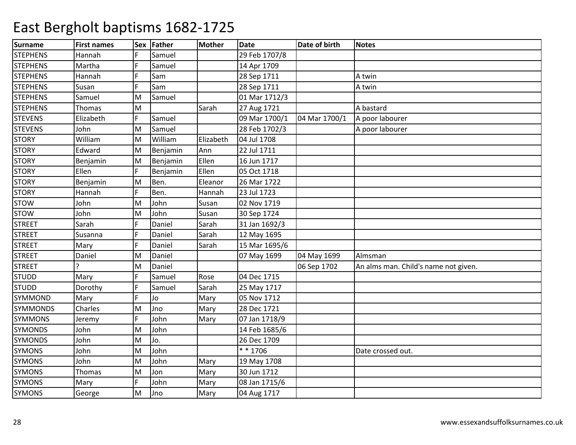| <b>Surname</b>  | <b>First names</b> | <b>Sex</b> | Father   | <b>Mother</b> | <b>Date</b>   | Date of birth | <b>Notes</b>                         |
|-----------------|--------------------|------------|----------|---------------|---------------|---------------|--------------------------------------|
| <b>STEPHENS</b> | Hannah             |            | Samuel   |               | 29 Feb 1707/8 |               |                                      |
| <b>STEPHENS</b> | Martha             |            | Samuel   |               | 14 Apr 1709   |               |                                      |
| <b>STEPHENS</b> | Hannah             |            | Sam      |               | 28 Sep 1711   |               | A twin                               |
| <b>STEPHENS</b> | Susan              |            | Sam      |               | 28 Sep 1711   |               | A twin                               |
| <b>STEPHENS</b> | Samuel             | M          | Samuel   |               | 01 Mar 1712/3 |               |                                      |
| <b>STEPHENS</b> | Thomas             | M          |          | Sarah         | 27 Aug 1721   |               | A bastard                            |
| <b>STEVENS</b>  | Elizabeth          | F          | Samuel   |               | 09 Mar 1700/1 | 04 Mar 1700/1 | A poor labourer                      |
| <b>STEVENS</b>  | John               | M          | Samuel   |               | 28 Feb 1702/3 |               | A poor labourer                      |
| <b>STORY</b>    | William            | M          | William  | Elizabeth     | 04 Jul 1708   |               |                                      |
| <b>STORY</b>    | Edward             | M          | Benjamin | Ann           | 22 Jul 1711   |               |                                      |
| <b>STORY</b>    | Benjamin           | M          | Benjamin | Ellen         | 16 Jun 1717   |               |                                      |
| <b>STORY</b>    | Ellen              | F          | Benjamin | Ellen         | 05 Oct 1718   |               |                                      |
| <b>STORY</b>    | Benjamin           | M          | Ben.     | Eleanor       | 26 Mar 1722   |               |                                      |
| <b>STORY</b>    | Hannah             |            | Ben.     | Hannah        | 23 Jul 1723   |               |                                      |
| <b>STOW</b>     | John               | M          | John     | Susan         | 02 Nov 1719   |               |                                      |
| <b>STOW</b>     | John               | M          | John     | Susan         | 30 Sep 1724   |               |                                      |
| <b>STREET</b>   | Sarah              |            | Daniel   | Sarah         | 31 Jan 1692/3 |               |                                      |
| <b>STREET</b>   | Susanna            | Ē          | Daniel   | Sarah         | 12 May 1695   |               |                                      |
| <b>STREET</b>   | Mary               |            | Daniel   | Sarah         | 15 Mar 1695/6 |               |                                      |
| <b>STREET</b>   | Daniel             | M          | Daniel   |               | 07 May 1699   | 04 May 1699   | Almsman                              |
| <b>STREET</b>   |                    | M          | Daniel   |               |               | 06 Sep 1702   | An alms man. Child's name not given. |
| <b>STUDD</b>    | Mary               |            | Samuel   | Rose          | 04 Dec 1715   |               |                                      |
| <b>STUDD</b>    | Dorothy            | Ē          | Samuel   | Sarah         | 25 May 1717   |               |                                      |
| <b>SYMMOND</b>  | Mary               | E          | Jo       | Mary          | 05 Nov 1712   |               |                                      |
| <b>SYMMONDS</b> | Charles            | M          | Jno      | Mary          | 28 Dec 1721   |               |                                      |
| <b>SYMMONS</b>  | Jeremy             | F          | John     | Mary          | 07 Jan 1718/9 |               |                                      |
| <b>SYMONDS</b>  | John               | M          | John     |               | 14 Feb 1685/6 |               |                                      |
| <b>SYMONDS</b>  | John               | M          | Jo.      |               | 26 Dec 1709   |               |                                      |
| <b>SYMONS</b>   | John               | M          | John     |               | $* * 1706$    |               | Date crossed out.                    |
| <b>SYMONS</b>   | John               | M          | John     | Mary          | 19 May 1708   |               |                                      |
| <b>SYMONS</b>   | Thomas             | M          | Jon      | Mary          | 30 Jun 1712   |               |                                      |
| <b>SYMONS</b>   | Mary               | F          | John     | Mary          | 08 Jan 1715/6 |               |                                      |
| <b>SYMONS</b>   | George             | M          | Jno      | Mary          | 04 Aug 1717   |               |                                      |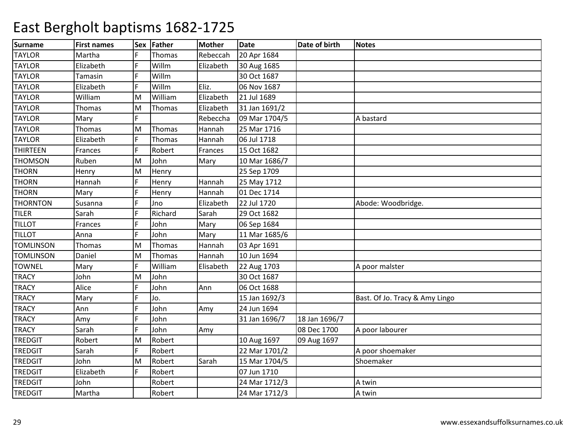| <b>Surname</b>   | <b>First names</b> |   | Sex Father | <b>Mother</b> | <b>Date</b>   | Date of birth | <b>Notes</b>                   |
|------------------|--------------------|---|------------|---------------|---------------|---------------|--------------------------------|
| <b>TAYLOR</b>    | Martha             |   | Thomas     | Rebeccah      | 20 Apr 1684   |               |                                |
| <b>TAYLOR</b>    | Elizabeth          | F | Willm      | Elizabeth     | 30 Aug 1685   |               |                                |
| <b>TAYLOR</b>    | Tamasin            |   | Willm      |               | 30 Oct 1687   |               |                                |
| <b>TAYLOR</b>    | Elizabeth          |   | Willm      | Eliz.         | 06 Nov 1687   |               |                                |
| <b>TAYLOR</b>    | William            | M | William    | Elizabeth     | 21 Jul 1689   |               |                                |
| <b>TAYLOR</b>    | Thomas             | м | Thomas     | Elizabeth     | 31 Jan 1691/2 |               |                                |
| <b>TAYLOR</b>    | Mary               | E |            | Rebeccha      | 09 Mar 1704/5 |               | A bastard                      |
| <b>TAYLOR</b>    | Thomas             | M | Thomas     | Hannah        | 25 Mar 1716   |               |                                |
| <b>TAYLOR</b>    | Elizabeth          | F | Thomas     | Hannah        | 06 Jul 1718   |               |                                |
| <b>THIRTEEN</b>  | Frances            |   | Robert     | Frances       | 15 Oct 1682   |               |                                |
| <b>THOMSON</b>   | Ruben              | M | John       | Mary          | 10 Mar 1686/7 |               |                                |
| <b>THORN</b>     | Henry              | M | Henry      |               | 25 Sep 1709   |               |                                |
| <b>THORN</b>     | Hannah             | Ē | Henry      | Hannah        | 25 May 1712   |               |                                |
| <b>THORN</b>     | Mary               |   | Henry      | Hannah        | 01 Dec 1714   |               |                                |
| <b>THORNTON</b>  | Susanna            |   | Jno        | Elizabeth     | 22 Jul 1720   |               | Abode: Woodbridge.             |
| <b>TILER</b>     | Sarah              |   | Richard    | Sarah         | 29 Oct 1682   |               |                                |
| <b>TILLOT</b>    | Frances            |   | John       | Mary          | 06 Sep 1684   |               |                                |
| <b>TILLOT</b>    | Anna               | Ē | John       | Mary          | 11 Mar 1685/6 |               |                                |
| <b>TOMLINSON</b> | Thomas             | M | Thomas     | Hannah        | 03 Apr 1691   |               |                                |
| <b>TOMLINSON</b> | Daniel             | M | Thomas     | Hannah        | 10 Jun 1694   |               |                                |
| <b>TOWNEL</b>    | Mary               |   | William    | Elisabeth     | 22 Aug 1703   |               | A poor malster                 |
| <b>TRACY</b>     | John               | M | John       |               | 30 Oct 1687   |               |                                |
| <b>TRACY</b>     | Alice              | Ē | John       | Ann           | 06 Oct 1688   |               |                                |
| <b>TRACY</b>     | Mary               | E | Jo.        |               | 15 Jan 1692/3 |               | Bast. Of Jo. Tracy & Amy Lingo |
| <b>TRACY</b>     | Ann                |   | John       | Amy           | 24 Jun 1694   |               |                                |
| <b>TRACY</b>     | Amy                |   | John       |               | 31 Jan 1696/7 | 18 Jan 1696/7 |                                |
| <b>TRACY</b>     | Sarah              |   | John       | Amy           |               | 08 Dec 1700   | A poor labourer                |
| <b>TREDGIT</b>   | Robert             | M | Robert     |               | 10 Aug 1697   | 09 Aug 1697   |                                |
| <b>TREDGIT</b>   | Sarah              | Ē | Robert     |               | 22 Mar 1701/2 |               | A poor shoemaker               |
| <b>TREDGIT</b>   | John               | M | Robert     | Sarah         | 15 Mar 1704/5 |               | Shoemaker                      |
| <b>TREDGIT</b>   | Elizabeth          | F | Robert     |               | 07 Jun 1710   |               |                                |
| <b>TREDGIT</b>   | John               |   | Robert     |               | 24 Mar 1712/3 |               | A twin                         |
| <b>TREDGIT</b>   | Martha             |   | Robert     |               | 24 Mar 1712/3 |               | A twin                         |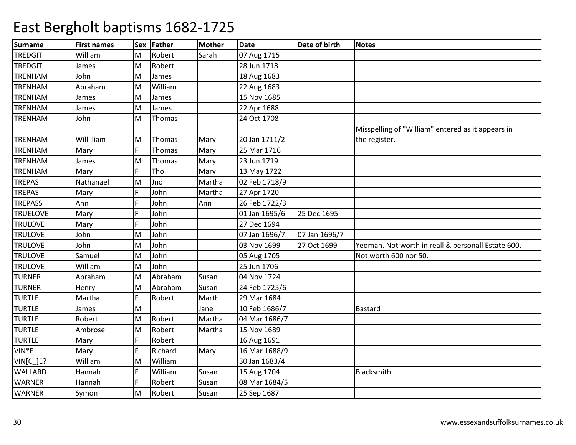| Surname            | <b>First names</b> | <b>Sex</b> | Father  | <b>Mother</b> | <b>Date</b>   | Date of birth | <b>Notes</b>                                       |
|--------------------|--------------------|------------|---------|---------------|---------------|---------------|----------------------------------------------------|
| <b>TREDGIT</b>     | William            | М          | Robert  | Sarah         | 07 Aug 1715   |               |                                                    |
| <b>TREDGIT</b>     | James              | M          | Robert  |               | 28 Jun 1718   |               |                                                    |
| <b>TRENHAM</b>     | John               | M          | James   |               | 18 Aug 1683   |               |                                                    |
| <b>TRENHAM</b>     | Abraham            | M          | William |               | 22 Aug 1683   |               |                                                    |
| <b>TRENHAM</b>     | James              | M          | James   |               | 15 Nov 1685   |               |                                                    |
| <b>TRENHAM</b>     | James              | M          | James   |               | 22 Apr 1688   |               |                                                    |
| <b>TRENHAM</b>     | John               | M          | Thomas  |               | 24 Oct 1708   |               |                                                    |
|                    |                    |            |         |               |               |               | Misspelling of "William" entered as it appears in  |
| <b>TRENHAM</b>     | Willilliam         | М          | Thomas  | Mary          | 20 Jan 1711/2 |               | the register.                                      |
| <b>TRENHAM</b>     | Mary               |            | Thomas  | Mary          | 25 Mar 1716   |               |                                                    |
| <b>TRENHAM</b>     | James              | M          | Thomas  | Mary          | 23 Jun 1719   |               |                                                    |
| <b>TRENHAM</b>     | Mary               | F          | Tho     | Mary          | 13 May 1722   |               |                                                    |
| <b>TREPAS</b>      | Nathanael          | M          | Jno     | Martha        | 02 Feb 1718/9 |               |                                                    |
| <b>TREPAS</b>      | Mary               | E          | John    | Martha        | 27 Apr 1720   |               |                                                    |
| <b>TREPASS</b>     | Ann                |            | John    | Ann           | 26 Feb 1722/3 |               |                                                    |
| <b>TRUELOVE</b>    | Mary               | F          | John    |               | 01 Jan 1695/6 | 25 Dec 1695   |                                                    |
| <b>TRULOVE</b>     | Mary               | F          | John    |               | 27 Dec 1694   |               |                                                    |
| <b>TRULOVE</b>     | John               | M          | John    |               | 07 Jan 1696/7 | 07 Jan 1696/7 |                                                    |
| <b>TRULOVE</b>     | John               | M          | John    |               | 03 Nov 1699   | 27 Oct 1699   | Yeoman. Not worth in reall & personall Estate 600. |
| <b>TRULOVE</b>     | Samuel             | M          | John    |               | 05 Aug 1705   |               | Not worth 600 nor 50.                              |
| <b>TRULOVE</b>     | William            | M          | John    |               | 25 Jun 1706   |               |                                                    |
| <b>TURNER</b>      | Abraham            | M          | Abraham | Susan         | 04 Nov 1724   |               |                                                    |
| <b>TURNER</b>      | Henry              | M          | Abraham | Susan         | 24 Feb 1725/6 |               |                                                    |
| <b>TURTLE</b>      | Martha             | F          | Robert  | Marth.        | 29 Mar 1684   |               |                                                    |
| <b>TURTLE</b>      | James              | M          |         | Jane          | 10 Feb 1686/7 |               | <b>Bastard</b>                                     |
| <b>TURTLE</b>      | Robert             | M          | Robert  | Martha        | 04 Mar 1686/7 |               |                                                    |
| <b>TURTLE</b>      | Ambrose            | M          | Robert  | Martha        | 15 Nov 1689   |               |                                                    |
| <b>TURTLE</b>      | Mary               | F          | Robert  |               | 16 Aug 1691   |               |                                                    |
| VIN <sup>*</sup> E | Mary               | F          | Richard | Mary          | 16 Mar 1688/9 |               |                                                    |
| VIN[C_]E?          | William            | M          | William |               | 30 Jan 1683/4 |               |                                                    |
| <b>WALLARD</b>     | Hannah             | F          | William | Susan         | 15 Aug 1704   |               | Blacksmith                                         |
| <b>WARNER</b>      | Hannah             | F          | Robert  | Susan         | 08 Mar 1684/5 |               |                                                    |
| <b>WARNER</b>      | Symon              | M          | Robert  | Susan         | 25 Sep 1687   |               |                                                    |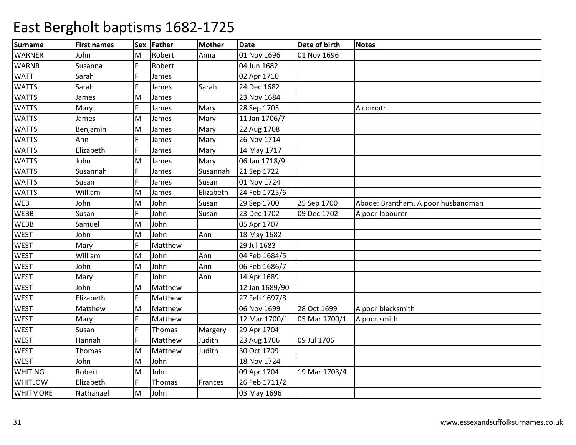| <b>Surname</b>  | <b>First names</b> | <b>Sex</b> | Father  | <b>Mother</b> | <b>Date</b>    | Date of birth | Notes                              |
|-----------------|--------------------|------------|---------|---------------|----------------|---------------|------------------------------------|
| <b>WARNER</b>   | John               | М          | Robert  | Anna          | 01 Nov 1696    | 01 Nov 1696   |                                    |
| <b>WARNR</b>    | Susanna            |            | Robert  |               | 04 Jun 1682    |               |                                    |
| <b>WATT</b>     | Sarah              |            | James   |               | 02 Apr 1710    |               |                                    |
| <b>WATTS</b>    | Sarah              |            | James   | Sarah         | 24 Dec 1682    |               |                                    |
| <b>WATTS</b>    | James              | M          | James   |               | 23 Nov 1684    |               |                                    |
| <b>WATTS</b>    | Mary               | F          | James   | Mary          | 28 Sep 1705    |               | A comptr.                          |
| <b>WATTS</b>    | James              | M          | James   | Mary          | 11 Jan 1706/7  |               |                                    |
| <b>WATTS</b>    | Benjamin           | M          | James   | Mary          | 22 Aug 1708    |               |                                    |
| <b>WATTS</b>    | Ann                |            | James   | Mary          | 26 Nov 1714    |               |                                    |
| <b>WATTS</b>    | Elizabeth          |            | James   | Mary          | 14 May 1717    |               |                                    |
| <b>WATTS</b>    | John               | M          | James   | Mary          | 06 Jan 1718/9  |               |                                    |
| <b>WATTS</b>    | Susannah           |            | James   | Susannah      | 21 Sep 1722    |               |                                    |
| <b>WATTS</b>    | Susan              |            | James   | Susan         | 01 Nov 1724    |               |                                    |
| <b>WATTS</b>    | William            | M          | James   | Elizabeth     | 24 Feb 1725/6  |               |                                    |
| WEB             | John               | M          | John    | Susan         | 29 Sep 1700    | 25 Sep 1700   | Abode: Brantham. A poor husbandman |
| <b>WEBB</b>     | Susan              | F          | John    | Susan         | 23 Dec 1702    | 09 Dec 1702   | A poor labourer                    |
| <b>WEBB</b>     | Samuel             | M          | John    |               | 05 Apr 1707    |               |                                    |
| <b>WEST</b>     | John               | M          | John    | Ann           | 18 May 1682    |               |                                    |
| <b>WEST</b>     | Mary               |            | Matthew |               | 29 Jul 1683    |               |                                    |
| <b>WEST</b>     | William            | M          | John    | Ann           | 04 Feb 1684/5  |               |                                    |
| <b>WEST</b>     | John               | M          | John    | Ann           | 06 Feb 1686/7  |               |                                    |
| <b>WEST</b>     | Mary               |            | John    | Ann           | 14 Apr 1689    |               |                                    |
| <b>WEST</b>     | John               | M          | Matthew |               | 12 Jan 1689/90 |               |                                    |
| <b>WEST</b>     | Elizabeth          |            | Matthew |               | 27 Feb 1697/8  |               |                                    |
| <b>WEST</b>     | Matthew            | M          | Matthew |               | 06 Nov 1699    | 28 Oct 1699   | A poor blacksmith                  |
| <b>WEST</b>     | Mary               | F          | Matthew |               | 12 Mar 1700/1  | 05 Mar 1700/1 | A poor smith                       |
| <b>WEST</b>     | Susan              |            | Thomas  | Margery       | 29 Apr 1704    |               |                                    |
| <b>WEST</b>     | Hannah             | F.         | Matthew | Judith        | 23 Aug 1706    | 09 Jul 1706   |                                    |
| <b>WEST</b>     | Thomas             | M          | Matthew | Judith        | 30 Oct 1709    |               |                                    |
| <b>WEST</b>     | John               | M          | John    |               | 18 Nov 1724    |               |                                    |
| <b>WHITING</b>  | Robert             | M          | John    |               | 09 Apr 1704    | 19 Mar 1703/4 |                                    |
| <b>WHITLOW</b>  | Elizabeth          | F          | Thomas  | Frances       | 26 Feb 1711/2  |               |                                    |
| <b>WHITMORE</b> | Nathanael          | lм         | John    |               | 03 May 1696    |               |                                    |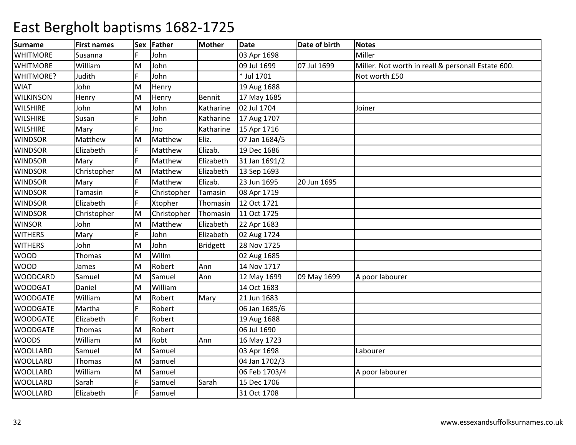| <b>Surname</b>   | <b>First names</b> | <b>Sex</b> | Father      | <b>Mother</b>   | <b>Date</b>   | Date of birth | <b>Notes</b>                                       |
|------------------|--------------------|------------|-------------|-----------------|---------------|---------------|----------------------------------------------------|
| <b>WHITMORE</b>  | Susanna            |            | John        |                 | 03 Apr 1698   |               | Miller                                             |
| <b>WHITMORE</b>  | William            | M          | John        |                 | 09 Jul 1699   | 07 Jul 1699   | Miller. Not worth in reall & personall Estate 600. |
| <b>WHITMORE?</b> | Judith             | E          | John        |                 | * Jul 1701    |               | Not worth £50                                      |
| <b>WIAT</b>      | John               | M          | Henry       |                 | 19 Aug 1688   |               |                                                    |
| <b>WILKINSON</b> | Henry              | M          | Henry       | Bennit          | 17 May 1685   |               |                                                    |
| <b>WILSHIRE</b>  | John               | M          | John        | Katharine       | 02 Jul 1704   |               | Joiner                                             |
| <b>WILSHIRE</b>  | Susan              | E          | John        | Katharine       | 17 Aug 1707   |               |                                                    |
| <b>WILSHIRE</b>  | Mary               |            | Jno         | Katharine       | 15 Apr 1716   |               |                                                    |
| <b>WINDSOR</b>   | Matthew            | M          | Matthew     | Eliz.           | 07 Jan 1684/5 |               |                                                    |
| <b>WINDSOR</b>   | Elizabeth          |            | Matthew     | Elizab.         | 19 Dec 1686   |               |                                                    |
| <b>WINDSOR</b>   | Mary               |            | Matthew     | Elizabeth       | 31 Jan 1691/2 |               |                                                    |
| <b>WINDSOR</b>   | Christopher        | M          | Matthew     | Elizabeth       | 13 Sep 1693   |               |                                                    |
| <b>WINDSOR</b>   | Mary               |            | Matthew     | Elizab.         | 23 Jun 1695   | 20 Jun 1695   |                                                    |
| <b>WINDSOR</b>   | Tamasin            |            | Christopher | Tamasin         | 08 Apr 1719   |               |                                                    |
| <b>WINDSOR</b>   | Elizabeth          |            | Xtopher     | Thomasin        | 12 Oct 1721   |               |                                                    |
| <b>WINDSOR</b>   | Christopher        | Μ          | Christopher | Thomasin        | 11 Oct 1725   |               |                                                    |
| <b>WINSOR</b>    | John               | M          | Matthew     | Elizabeth       | 22 Apr 1683   |               |                                                    |
| <b>WITHERS</b>   | Mary               | E          | John        | Elizabeth       | 02 Aug 1724   |               |                                                    |
| <b>WITHERS</b>   | John               | M          | John        | <b>Bridgett</b> | 28 Nov 1725   |               |                                                    |
| <b>WOOD</b>      | Thomas             | M          | Willm       |                 | 02 Aug 1685   |               |                                                    |
| <b>WOOD</b>      | James              | M          | Robert      | Ann             | 14 Nov 1717   |               |                                                    |
| <b>WOODCARD</b>  | Samuel             | M          | Samuel      | Ann             | 12 May 1699   | 09 May 1699   | A poor labourer                                    |
| <b>WOODGAT</b>   | Daniel             | M          | William     |                 | 14 Oct 1683   |               |                                                    |
| <b>WOODGATE</b>  | William            | Μ          | Robert      | Mary            | 21 Jun 1683   |               |                                                    |
| <b>WOODGATE</b>  | Martha             |            | Robert      |                 | 06 Jan 1685/6 |               |                                                    |
| <b>WOODGATE</b>  | Elizabeth          |            | Robert      |                 | 19 Aug 1688   |               |                                                    |
| <b>WOODGATE</b>  | Thomas             | M          | Robert      |                 | 06 Jul 1690   |               |                                                    |
| <b>WOODS</b>     | William            | M          | Robt        | Ann             | 16 May 1723   |               |                                                    |
| <b>WOOLLARD</b>  | Samuel             | Μ          | Samuel      |                 | 03 Apr 1698   |               | Labourer                                           |
| <b>WOOLLARD</b>  | Thomas             | M          | Samuel      |                 | 04 Jan 1702/3 |               |                                                    |
| <b>WOOLLARD</b>  | William            | M          | Samuel      |                 | 06 Feb 1703/4 |               | A poor labourer                                    |
| <b>WOOLLARD</b>  | Sarah              |            | Samuel      | Sarah           | 15 Dec 1706   |               |                                                    |
| <b>WOOLLARD</b>  | Elizabeth          | F          | Samuel      |                 | 31 Oct 1708   |               |                                                    |